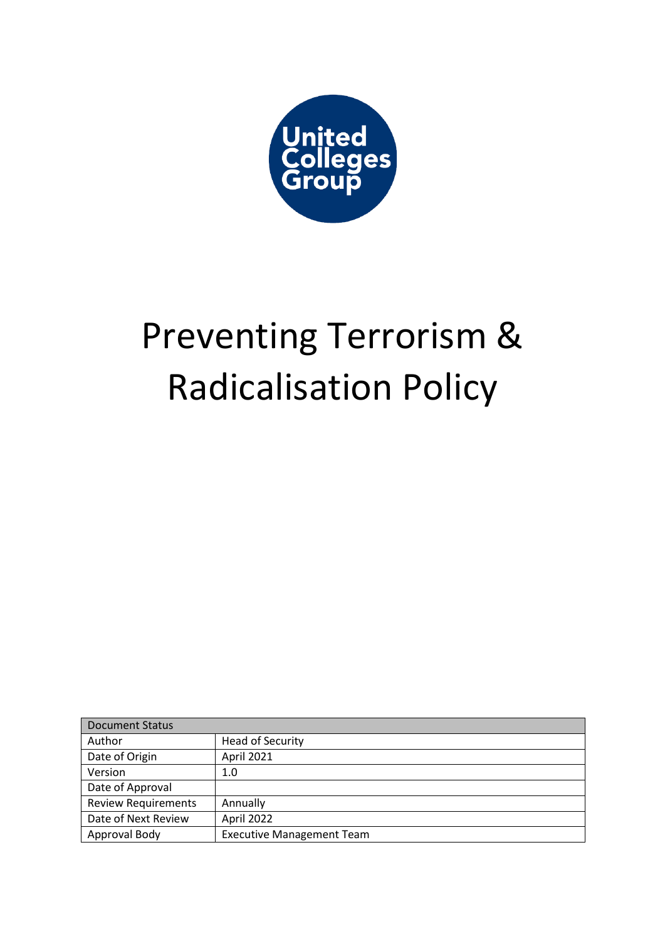

# Preventing Terrorism & Radicalisation Policy

| <b>Document Status</b>     |                                  |
|----------------------------|----------------------------------|
| Author                     | <b>Head of Security</b>          |
| Date of Origin             | April 2021                       |
| Version                    | 1.0                              |
| Date of Approval           |                                  |
| <b>Review Requirements</b> | Annually                         |
| Date of Next Review        | April 2022                       |
| Approval Body              | <b>Executive Management Team</b> |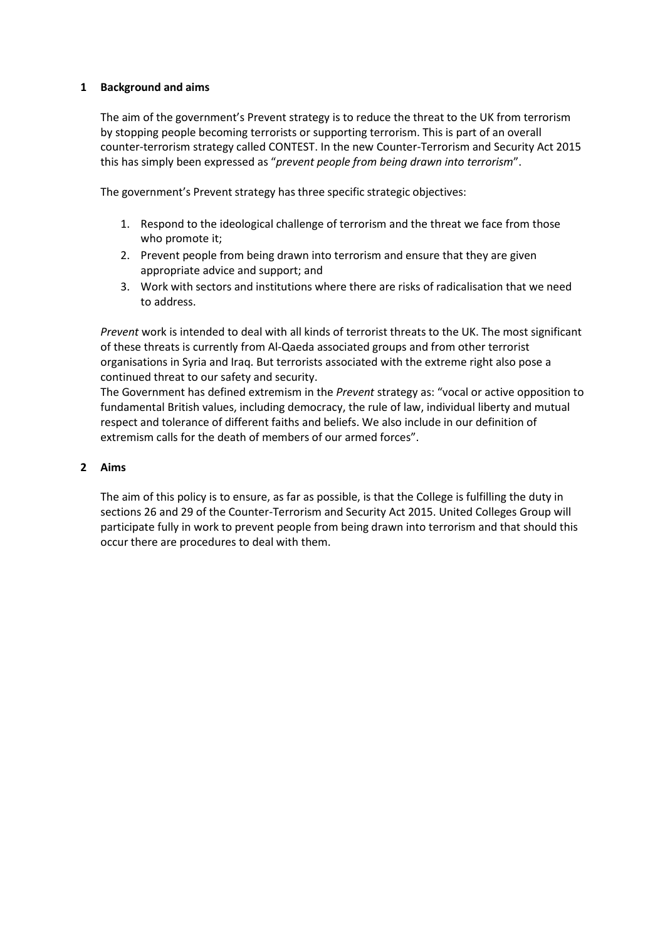### **1 Background and aims**

The aim of the government's Prevent strategy is to reduce the threat to the UK from terrorism by stopping people becoming terrorists or supporting terrorism. This is part of an overall counter-terrorism strategy called CONTEST. In the new Counter-Terrorism and Security Act 2015 this has simply been expressed as "*prevent people from being drawn into terrorism*".

The government's Prevent strategy has three specific strategic objectives:

- 1. Respond to the ideological challenge of terrorism and the threat we face from those who promote it;
- 2. Prevent people from being drawn into terrorism and ensure that they are given appropriate advice and support; and
- 3. Work with sectors and institutions where there are risks of radicalisation that we need to address.

*Prevent* work is intended to deal with all kinds of terrorist threats to the UK. The most significant of these threats is currently from Al-Qaeda associated groups and from other terrorist organisations in Syria and Iraq. But terrorists associated with the extreme right also pose a continued threat to our safety and security.

The Government has defined extremism in the *Prevent* strategy as: "vocal or active opposition to fundamental British values, including democracy, the rule of law, individual liberty and mutual respect and tolerance of different faiths and beliefs. We also include in our definition of extremism calls for the death of members of our armed forces".

## **2 Aims**

The aim of this policy is to ensure, as far as possible, is that the College is fulfilling the duty in sections 26 and 29 of the Counter-Terrorism and Security Act 2015. United Colleges Group will participate fully in work to prevent people from being drawn into terrorism and that should this occur there are procedures to deal with them.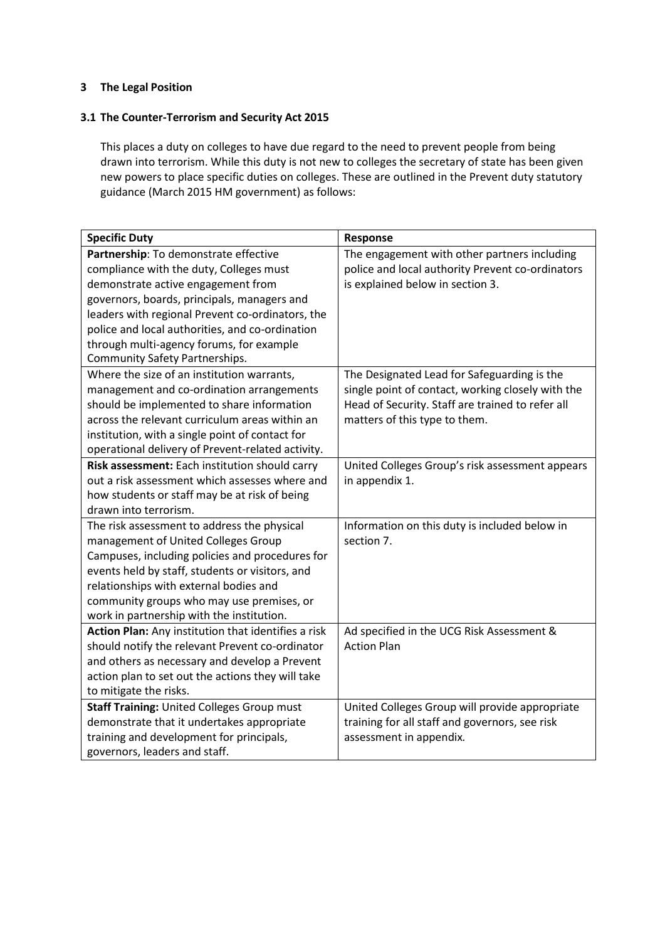## **3 The Legal Position**

## **3.1 The Counter-Terrorism and Security Act 2015**

This places a duty on colleges to have due regard to the need to prevent people from being drawn into terrorism. While this duty is not new to colleges the secretary of state has been given new powers to place specific duties on colleges. These are outlined in the Prevent duty statutory guidance (March 2015 HM government) as follows:

| <b>Specific Duty</b>                                | Response                                          |
|-----------------------------------------------------|---------------------------------------------------|
| Partnership: To demonstrate effective               | The engagement with other partners including      |
| compliance with the duty, Colleges must             | police and local authority Prevent co-ordinators  |
| demonstrate active engagement from                  | is explained below in section 3.                  |
| governors, boards, principals, managers and         |                                                   |
| leaders with regional Prevent co-ordinators, the    |                                                   |
| police and local authorities, and co-ordination     |                                                   |
| through multi-agency forums, for example            |                                                   |
| <b>Community Safety Partnerships.</b>               |                                                   |
| Where the size of an institution warrants,          | The Designated Lead for Safeguarding is the       |
| management and co-ordination arrangements           | single point of contact, working closely with the |
| should be implemented to share information          | Head of Security. Staff are trained to refer all  |
| across the relevant curriculum areas within an      | matters of this type to them.                     |
| institution, with a single point of contact for     |                                                   |
| operational delivery of Prevent-related activity.   |                                                   |
| Risk assessment: Each institution should carry      | United Colleges Group's risk assessment appears   |
| out a risk assessment which assesses where and      | in appendix 1.                                    |
| how students or staff may be at risk of being       |                                                   |
| drawn into terrorism.                               |                                                   |
| The risk assessment to address the physical         | Information on this duty is included below in     |
| management of United Colleges Group                 | section 7.                                        |
| Campuses, including policies and procedures for     |                                                   |
| events held by staff, students or visitors, and     |                                                   |
| relationships with external bodies and              |                                                   |
| community groups who may use premises, or           |                                                   |
| work in partnership with the institution.           |                                                   |
| Action Plan: Any institution that identifies a risk | Ad specified in the UCG Risk Assessment &         |
| should notify the relevant Prevent co-ordinator     | <b>Action Plan</b>                                |
| and others as necessary and develop a Prevent       |                                                   |
| action plan to set out the actions they will take   |                                                   |
| to mitigate the risks.                              |                                                   |
| Staff Training: United Colleges Group must          | United Colleges Group will provide appropriate    |
| demonstrate that it undertakes appropriate          | training for all staff and governors, see risk    |
| training and development for principals,            | assessment in appendix.                           |
| governors, leaders and staff.                       |                                                   |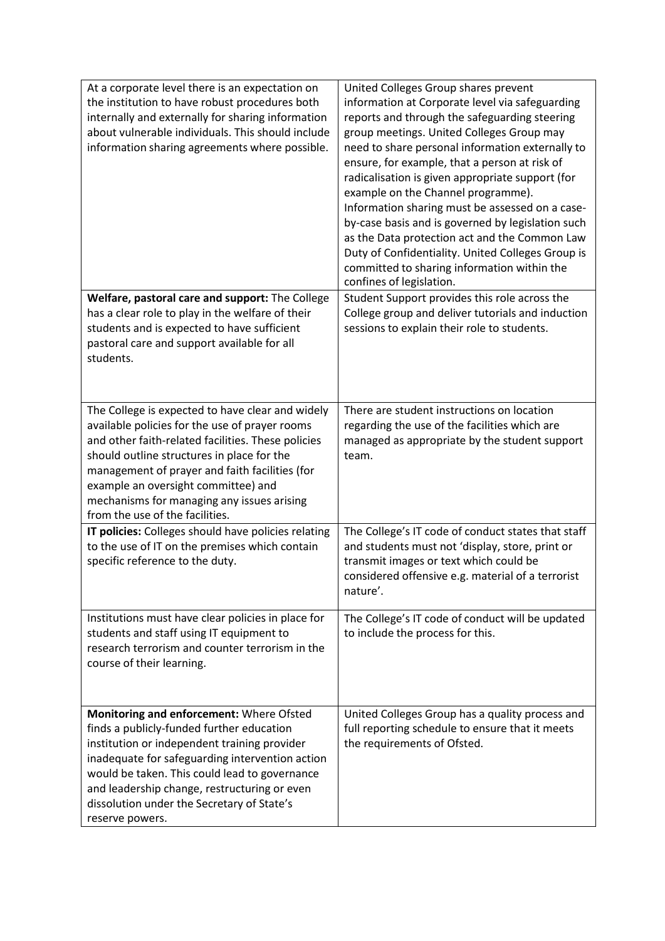| At a corporate level there is an expectation on<br>the institution to have robust procedures both<br>internally and externally for sharing information<br>about vulnerable individuals. This should include<br>information sharing agreements where possible.                                                                                                                    | United Colleges Group shares prevent<br>information at Corporate level via safeguarding<br>reports and through the safeguarding steering<br>group meetings. United Colleges Group may<br>need to share personal information externally to<br>ensure, for example, that a person at risk of<br>radicalisation is given appropriate support (for<br>example on the Channel programme).<br>Information sharing must be assessed on a case-<br>by-case basis and is governed by legislation such<br>as the Data protection act and the Common Law<br>Duty of Confidentiality. United Colleges Group is<br>committed to sharing information within the<br>confines of legislation. |
|----------------------------------------------------------------------------------------------------------------------------------------------------------------------------------------------------------------------------------------------------------------------------------------------------------------------------------------------------------------------------------|-------------------------------------------------------------------------------------------------------------------------------------------------------------------------------------------------------------------------------------------------------------------------------------------------------------------------------------------------------------------------------------------------------------------------------------------------------------------------------------------------------------------------------------------------------------------------------------------------------------------------------------------------------------------------------|
| Welfare, pastoral care and support: The College<br>has a clear role to play in the welfare of their<br>students and is expected to have sufficient<br>pastoral care and support available for all<br>students.                                                                                                                                                                   | Student Support provides this role across the<br>College group and deliver tutorials and induction<br>sessions to explain their role to students.                                                                                                                                                                                                                                                                                                                                                                                                                                                                                                                             |
| The College is expected to have clear and widely<br>available policies for the use of prayer rooms<br>and other faith-related facilities. These policies<br>should outline structures in place for the<br>management of prayer and faith facilities (for<br>example an oversight committee) and<br>mechanisms for managing any issues arising<br>from the use of the facilities. | There are student instructions on location<br>regarding the use of the facilities which are<br>managed as appropriate by the student support<br>team.                                                                                                                                                                                                                                                                                                                                                                                                                                                                                                                         |
| IT policies: Colleges should have policies relating<br>to the use of IT on the premises which contain<br>specific reference to the duty.                                                                                                                                                                                                                                         | The College's IT code of conduct states that staff<br>and students must not 'display, store, print or<br>transmit images or text which could be<br>considered offensive e.g. material of a terrorist<br>nature'.                                                                                                                                                                                                                                                                                                                                                                                                                                                              |
| Institutions must have clear policies in place for<br>students and staff using IT equipment to<br>research terrorism and counter terrorism in the<br>course of their learning.                                                                                                                                                                                                   | The College's IT code of conduct will be updated<br>to include the process for this.                                                                                                                                                                                                                                                                                                                                                                                                                                                                                                                                                                                          |
| Monitoring and enforcement: Where Ofsted<br>finds a publicly-funded further education<br>institution or independent training provider<br>inadequate for safeguarding intervention action<br>would be taken. This could lead to governance<br>and leadership change, restructuring or even<br>dissolution under the Secretary of State's<br>reserve powers.                       | United Colleges Group has a quality process and<br>full reporting schedule to ensure that it meets<br>the requirements of Ofsted.                                                                                                                                                                                                                                                                                                                                                                                                                                                                                                                                             |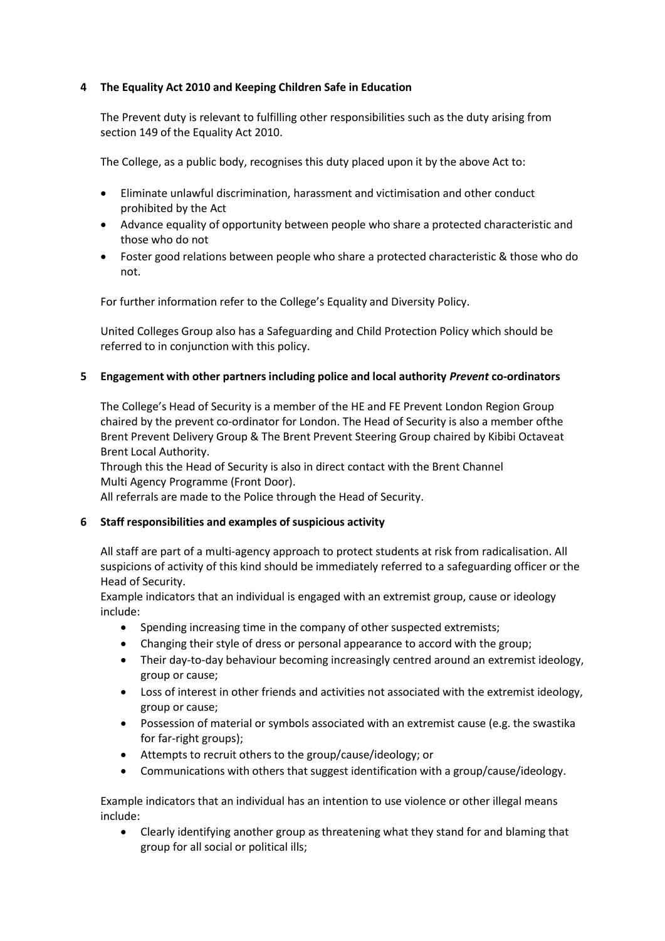# **4 The Equality Act 2010 and Keeping Children Safe in Education**

The Prevent duty is relevant to fulfilling other responsibilities such as the duty arising from section 149 of the Equality Act 2010.

The College, as a public body, recognises this duty placed upon it by the above Act to:

- Eliminate unlawful discrimination, harassment and victimisation and other conduct prohibited by the Act
- Advance equality of opportunity between people who share a protected characteristic and those who do not
- Foster good relations between people who share a protected characteristic & those who do not.

For further information refer to the College's Equality and Diversity Policy.

United Colleges Group also has a Safeguarding and Child Protection Policy which should be referred to in conjunction with this policy.

## **5 Engagement with other partners including police and local authority** *Prevent* **co-ordinators**

The College's Head of Security is a member of the HE and FE Prevent London Region Group chaired by the prevent co-ordinator for London. The Head of Security is also a member ofthe Brent Prevent Delivery Group & The Brent Prevent Steering Group chaired by Kibibi Octaveat Brent Local Authority.

Through this the Head of Security is also in direct contact with the Brent Channel Multi Agency Programme (Front Door).

All referrals are made to the Police through the Head of Security.

### **6 Staff responsibilities and examples of suspicious activity**

All staff are part of a multi-agency approach to protect students at risk from radicalisation. All suspicions of activity of this kind should be immediately referred to a safeguarding officer or the Head of Security.

Example indicators that an individual is engaged with an extremist group, cause or ideology include:

- Spending increasing time in the company of other suspected extremists;
- Changing their style of dress or personal appearance to accord with the group;
- Their day-to-day behaviour becoming increasingly centred around an extremist ideology, group or cause;
- Loss of interest in other friends and activities not associated with the extremist ideology, group or cause;
- Possession of material or symbols associated with an extremist cause (e.g. the swastika for far-right groups);
- Attempts to recruit others to the group/cause/ideology; or
- Communications with others that suggest identification with a group/cause/ideology.

Example indicators that an individual has an intention to use violence or other illegal means include:

• Clearly identifying another group as threatening what they stand for and blaming that group for all social or political ills;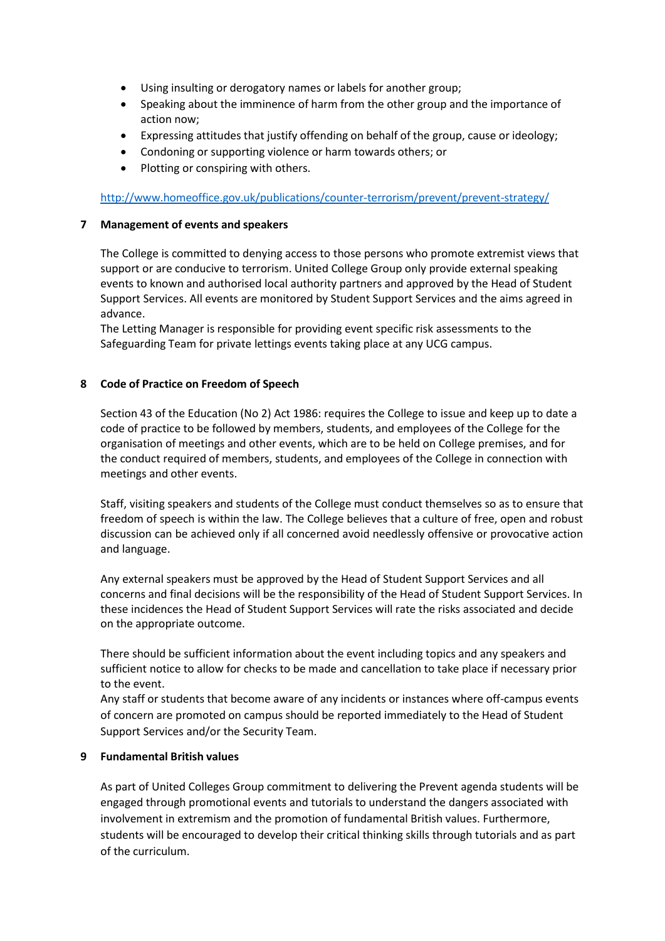- Using insulting or derogatory names or labels for another group;
- Speaking about the imminence of harm from the other group and the importance of action now;
- Expressing attitudes that justify offending on behalf of the group, cause or ideology;
- Condoning or supporting violence or harm towards others; or
- Plotting or conspiring with others.

<http://www.homeoffice.gov.uk/publications/counter-terrorism/prevent/prevent-strategy/>

### **7 Management of events and speakers**

The College is committed to denying access to those persons who promote extremist views that support or are conducive to terrorism. United College Group only provide external speaking events to known and authorised local authority partners and approved by the Head of Student Support Services. All events are monitored by Student Support Services and the aims agreed in advance.

The Letting Manager is responsible for providing event specific risk assessments to the Safeguarding Team for private lettings events taking place at any UCG campus.

### **8 Code of Practice on Freedom of Speech**

Section 43 of the Education (No 2) Act 1986: requires the College to issue and keep up to date a code of practice to be followed by members, students, and employees of the College for the organisation of meetings and other events, which are to be held on College premises, and for the conduct required of members, students, and employees of the College in connection with meetings and other events.

Staff, visiting speakers and students of the College must conduct themselves so as to ensure that freedom of speech is within the law. The College believes that a culture of free, open and robust discussion can be achieved only if all concerned avoid needlessly offensive or provocative action and language.

Any external speakers must be approved by the Head of Student Support Services and all concerns and final decisions will be the responsibility of the Head of Student Support Services. In these incidences the Head of Student Support Services will rate the risks associated and decide on the appropriate outcome.

There should be sufficient information about the event including topics and any speakers and sufficient notice to allow for checks to be made and cancellation to take place if necessary prior to the event.

Any staff or students that become aware of any incidents or instances where off-campus events of concern are promoted on campus should be reported immediately to the Head of Student Support Services and/or the Security Team.

### **9 Fundamental British values**

As part of United Colleges Group commitment to delivering the Prevent agenda students will be engaged through promotional events and tutorials to understand the dangers associated with involvement in extremism and the promotion of fundamental British values. Furthermore, students will be encouraged to develop their critical thinking skills through tutorials and as part of the curriculum.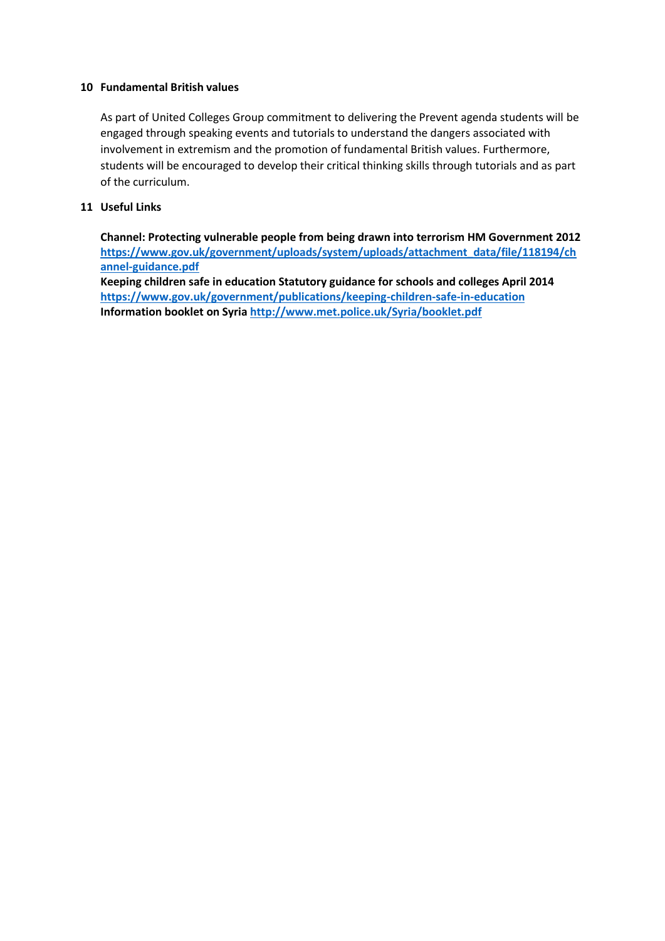### **10 Fundamental British values**

As part of United Colleges Group commitment to delivering the Prevent agenda students will be engaged through speaking events and tutorials to understand the dangers associated with involvement in extremism and the promotion of fundamental British values. Furthermore, students will be encouraged to develop their critical thinking skills through tutorials and as part of the curriculum.

## **11 Useful Links**

**Channel: Protecting vulnerable people from being drawn into terrorism HM Government 2012 [https://www.gov.uk/government/uploads/system/uploads/attachment\\_data/file/118194/ch](https://www.gov.uk/government/uploads/system/uploads/attachment_data/file/118194/channel-guidance.pdf) [annel-guidance.pdf](https://www.gov.uk/government/uploads/system/uploads/attachment_data/file/118194/channel-guidance.pdf) Keeping children safe in education Statutory guidance for schools and colleges April 2014 <https://www.gov.uk/government/publications/keeping-children-safe-in-education> Information booklet on Syria<http://www.met.police.uk/Syria/booklet.pdf>**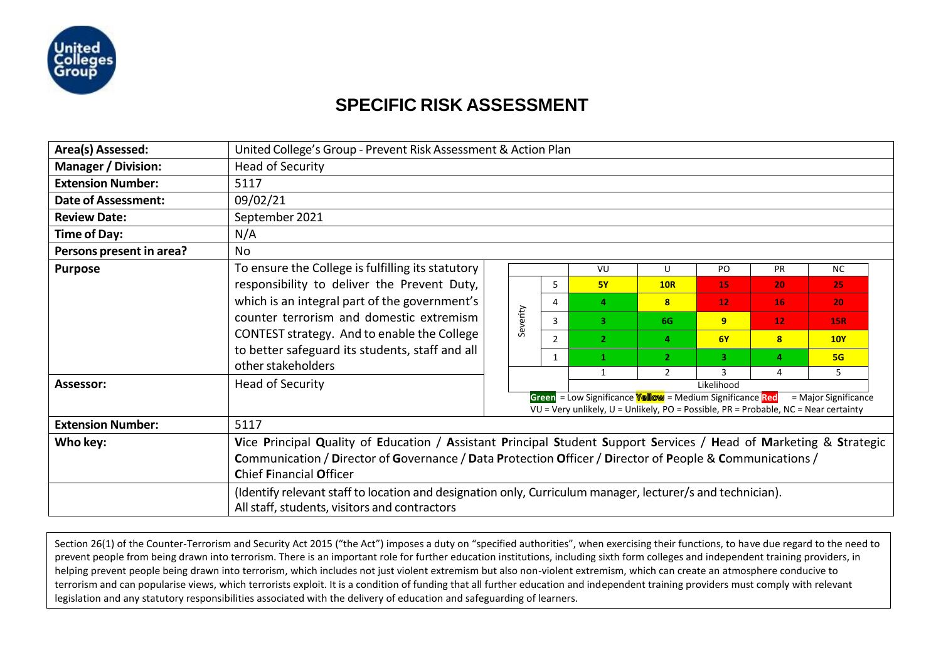

# **SPECIFIC RISK ASSESSMENT**

| Area(s) Assessed:          |                                                                                                                    | United College's Group - Prevent Risk Assessment & Action Plan |          |   |                |                                                                                                                                                         |                 |                 |                      |  |  |  |  |  |
|----------------------------|--------------------------------------------------------------------------------------------------------------------|----------------------------------------------------------------|----------|---|----------------|---------------------------------------------------------------------------------------------------------------------------------------------------------|-----------------|-----------------|----------------------|--|--|--|--|--|
| <b>Manager / Division:</b> | <b>Head of Security</b>                                                                                            |                                                                |          |   |                |                                                                                                                                                         |                 |                 |                      |  |  |  |  |  |
| <b>Extension Number:</b>   | 5117                                                                                                               |                                                                |          |   |                |                                                                                                                                                         |                 |                 |                      |  |  |  |  |  |
| <b>Date of Assessment:</b> | 09/02/21                                                                                                           |                                                                |          |   |                |                                                                                                                                                         |                 |                 |                      |  |  |  |  |  |
| <b>Review Date:</b>        | September 2021                                                                                                     |                                                                |          |   |                |                                                                                                                                                         |                 |                 |                      |  |  |  |  |  |
| Time of Day:               | N/A                                                                                                                |                                                                |          |   |                |                                                                                                                                                         |                 |                 |                      |  |  |  |  |  |
| Persons present in area?   | <b>No</b>                                                                                                          |                                                                |          |   |                |                                                                                                                                                         |                 |                 |                      |  |  |  |  |  |
| <b>Purpose</b>             | To ensure the College is fulfilling its statutory                                                                  |                                                                |          |   | VU             | $\mathbf{U}$                                                                                                                                            | PO              | <b>PR</b>       | <b>NC</b>            |  |  |  |  |  |
|                            | responsibility to deliver the Prevent Duty,                                                                        |                                                                |          | 5 | <b>5Y</b>      | <b>10R</b>                                                                                                                                              | 15              | 20              | 25                   |  |  |  |  |  |
|                            | which is an integral part of the government's                                                                      |                                                                |          | 4 | $\overline{4}$ | $\mathbf{8}$                                                                                                                                            | 12 <sub>1</sub> | 16              | 20                   |  |  |  |  |  |
|                            | counter terrorism and domestic extremism                                                                           |                                                                | Severity | 3 | 3              | 6G                                                                                                                                                      | 9 <sup>°</sup>  | 12 <sub>2</sub> | <b>15R</b>           |  |  |  |  |  |
|                            | CONTEST strategy. And to enable the College                                                                        |                                                                |          | 2 | $\overline{2}$ | 4                                                                                                                                                       | 6Y              | 8               | 10Y                  |  |  |  |  |  |
|                            | to better safeguard its students, staff and all                                                                    |                                                                |          | 1 | 1              | $\mathbf{2}$                                                                                                                                            | з.              | $\overline{a}$  | 5G                   |  |  |  |  |  |
|                            | other stakeholders                                                                                                 |                                                                |          |   | $\mathbf{1}$   | $\overline{2}$                                                                                                                                          |                 | 4               | 5.                   |  |  |  |  |  |
| Assessor:                  | <b>Head of Security</b>                                                                                            |                                                                |          |   |                |                                                                                                                                                         | Likelihood      |                 |                      |  |  |  |  |  |
|                            |                                                                                                                    |                                                                |          |   |                | Green = Low Significance <b>Yellow</b> = Medium Significance Red<br>VU = Very unlikely, U = Unlikely, PO = Possible, PR = Probable, NC = Near certainty |                 |                 | = Major Significance |  |  |  |  |  |
| <b>Extension Number:</b>   | 5117                                                                                                               |                                                                |          |   |                |                                                                                                                                                         |                 |                 |                      |  |  |  |  |  |
| Who key:                   | Vice Principal Quality of Education / Assistant Principal Student Support Services / Head of Marketing & Strategic |                                                                |          |   |                |                                                                                                                                                         |                 |                 |                      |  |  |  |  |  |
|                            | Communication / Director of Governance / Data Protection Officer / Director of People & Communications /           |                                                                |          |   |                |                                                                                                                                                         |                 |                 |                      |  |  |  |  |  |
|                            | <b>Chief Financial Officer</b>                                                                                     |                                                                |          |   |                |                                                                                                                                                         |                 |                 |                      |  |  |  |  |  |
|                            |                                                                                                                    |                                                                |          |   |                |                                                                                                                                                         |                 |                 |                      |  |  |  |  |  |
|                            | (Identify relevant staff to location and designation only, Curriculum manager, lecturer/s and technician).         |                                                                |          |   |                |                                                                                                                                                         |                 |                 |                      |  |  |  |  |  |
|                            | All staff, students, visitors and contractors                                                                      |                                                                |          |   |                |                                                                                                                                                         |                 |                 |                      |  |  |  |  |  |

Section 26(1) of the Counter-Terrorism and Security Act 2015 ("the Act") imposes a duty on "specified authorities", when exercising their functions, to have due regard to the need to prevent people from being drawn into terrorism. There is an important role for further education institutions, including sixth form colleges and independent training providers, in helping prevent people being drawn into terrorism, which includes not just violent extremism but also non-violent extremism, which can create an atmosphere conducive to terrorism and can popularise views, which terrorists exploit. It is a condition of funding that all further education and independent training providers must comply with relevant legislation and any statutory responsibilities associated with the delivery of education and safeguarding of learners.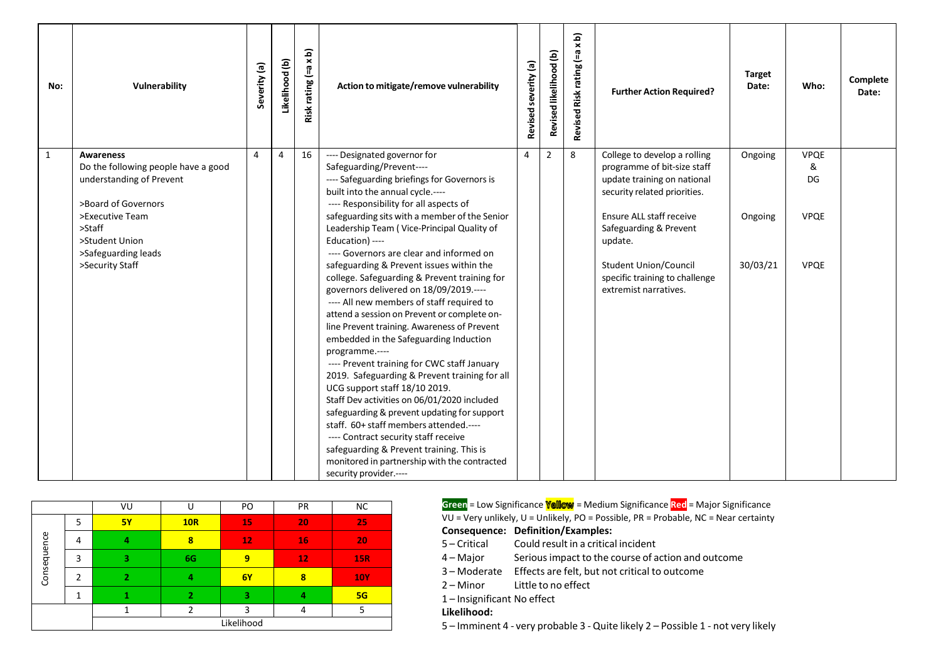| No:          | Vulnerability                          | Severity (a)   | Likelihood (b) | Risk rating (=a x b) | Action to mitigate/remove vulnerability                                                 | severity (a)<br>Revised | Revised likelihood (b) | $\widehat{\mathbf{a}}$<br>$\boldsymbol{\times}$<br>Risk rating (=a<br><b>Revised</b> | <b>Further Action Required?</b> | <b>Target</b><br>Date: | Who:        | Complete<br>Date: |
|--------------|----------------------------------------|----------------|----------------|----------------------|-----------------------------------------------------------------------------------------|-------------------------|------------------------|--------------------------------------------------------------------------------------|---------------------------------|------------------------|-------------|-------------------|
| $\mathbf{1}$ | <b>Awareness</b>                       | $\overline{4}$ | $\overline{4}$ | 16                   | ---- Designated governor for                                                            | $\overline{4}$          | $\overline{2}$         | 8                                                                                    | College to develop a rolling    | Ongoing                | <b>VPQE</b> |                   |
|              | Do the following people have a good    |                |                |                      | Safeguarding/Prevent----                                                                |                         |                        |                                                                                      | programme of bit-size staff     |                        | &           |                   |
|              | understanding of Prevent               |                |                |                      | ---- Safeguarding briefings for Governors is                                            |                         |                        |                                                                                      | update training on national     |                        | DG          |                   |
|              |                                        |                |                |                      | built into the annual cycle.----                                                        |                         |                        |                                                                                      | security related priorities.    |                        |             |                   |
|              | >Board of Governors<br>>Executive Team |                |                |                      | ---- Responsibility for all aspects of<br>safeguarding sits with a member of the Senior |                         |                        |                                                                                      | <b>Ensure ALL staff receive</b> |                        | <b>VPOE</b> |                   |
|              | $>$ Staff                              |                |                |                      | Leadership Team (Vice-Principal Quality of                                              |                         |                        |                                                                                      | Safeguarding & Prevent          | Ongoing                |             |                   |
|              | >Student Union                         |                |                |                      | Education) ----                                                                         |                         |                        |                                                                                      | update.                         |                        |             |                   |
|              | >Safeguarding leads                    |                |                |                      | ---- Governors are clear and informed on                                                |                         |                        |                                                                                      |                                 |                        |             |                   |
|              | >Security Staff                        |                |                |                      | safeguarding & Prevent issues within the                                                |                         |                        |                                                                                      | <b>Student Union/Council</b>    | 30/03/21               | <b>VPQE</b> |                   |
|              |                                        |                |                |                      | college. Safeguarding & Prevent training for                                            |                         |                        |                                                                                      | specific training to challenge  |                        |             |                   |
|              |                                        |                |                |                      | governors delivered on 18/09/2019.----                                                  |                         |                        |                                                                                      | extremist narratives.           |                        |             |                   |
|              |                                        |                |                |                      | ---- All new members of staff required to                                               |                         |                        |                                                                                      |                                 |                        |             |                   |
|              |                                        |                |                |                      | attend a session on Prevent or complete on-                                             |                         |                        |                                                                                      |                                 |                        |             |                   |
|              |                                        |                |                |                      | line Prevent training. Awareness of Prevent                                             |                         |                        |                                                                                      |                                 |                        |             |                   |
|              |                                        |                |                |                      | embedded in the Safeguarding Induction                                                  |                         |                        |                                                                                      |                                 |                        |             |                   |
|              |                                        |                |                |                      | programme.----                                                                          |                         |                        |                                                                                      |                                 |                        |             |                   |
|              |                                        |                |                |                      | ---- Prevent training for CWC staff January                                             |                         |                        |                                                                                      |                                 |                        |             |                   |
|              |                                        |                |                |                      | 2019. Safeguarding & Prevent training for all<br>UCG support staff 18/10 2019.          |                         |                        |                                                                                      |                                 |                        |             |                   |
|              |                                        |                |                |                      | Staff Dev activities on 06/01/2020 included                                             |                         |                        |                                                                                      |                                 |                        |             |                   |
|              |                                        |                |                |                      | safeguarding & prevent updating for support                                             |                         |                        |                                                                                      |                                 |                        |             |                   |
|              |                                        |                |                |                      | staff. 60+ staff members attended.----                                                  |                         |                        |                                                                                      |                                 |                        |             |                   |
|              |                                        |                |                |                      | ---- Contract security staff receive                                                    |                         |                        |                                                                                      |                                 |                        |             |                   |
|              |                                        |                |                |                      | safeguarding & Prevent training. This is                                                |                         |                        |                                                                                      |                                 |                        |             |                   |
|              |                                        |                |                |                      | monitored in partnership with the contracted                                            |                         |                        |                                                                                      |                                 |                        |             |                   |
|              |                                        |                |                |                      | security provider.----                                                                  |                         |                        |                                                                                      |                                 |                        |             |                   |

|             |   | VU        | U          | PO         | PR | <b>NC</b>  |
|-------------|---|-----------|------------|------------|----|------------|
|             | 5 | <b>5Y</b> | <b>10R</b> | 15         | 20 | 25         |
| Consequence | 4 |           | 8          | 12         | 16 | 20         |
|             | 3 | R         | 6G         | 9          | 12 | <b>15R</b> |
|             | າ |           | 4          | 6Y         | 8  | <b>10Y</b> |
|             |   |           | 2          | З          |    | 5G         |
|             |   |           | っ          | 3          | 4  | 5          |
|             |   |           |            | Likelihood |    |            |

VU = Very unlikely, U = Unlikely, PO = Possible, PR = Probable, NC = Near certainty **Consequence: Definition/Examples:** 5 – Critical 4 – Major 3 – Moderate Effects are felt, but not critical to outcome 2 – Minor Could result in a critical incident Seriousimpact to the course of action and outcome Little to no effect 1 – Insignificant No effect **Likelihood: Green** = Low Significance **Yellow** = Medium Significance **Red** = Major Significance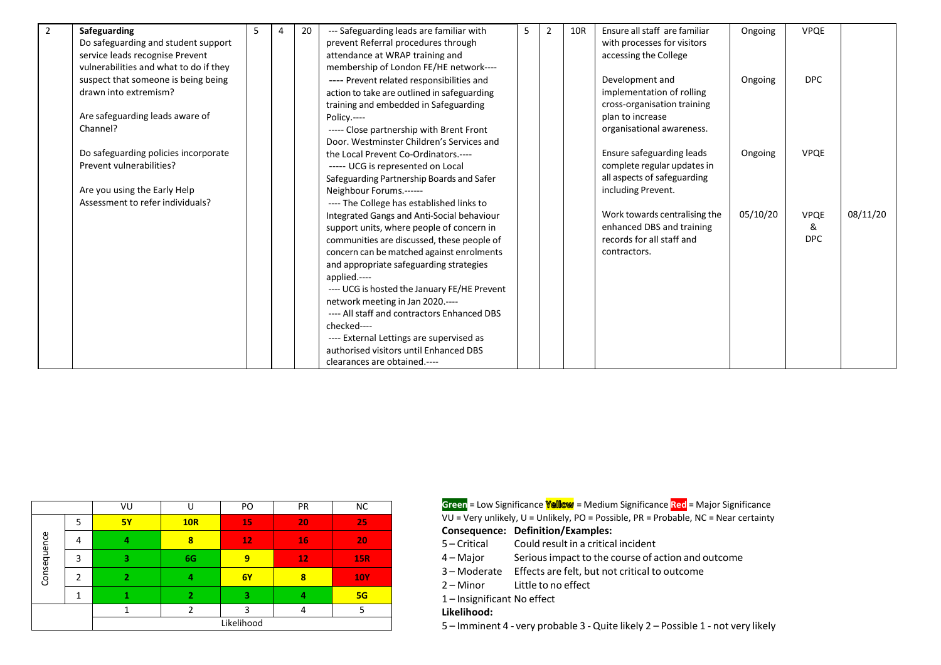| 2 | <b>Safeguarding</b>                    | 5 | 4 | 20 | --- Safeguarding leads are familiar with     | 5 | $\overline{2}$ | 10R | Ensure all staff are familiar | Ongoing  | <b>VPQE</b> |          |
|---|----------------------------------------|---|---|----|----------------------------------------------|---|----------------|-----|-------------------------------|----------|-------------|----------|
|   | Do safeguarding and student support    |   |   |    | prevent Referral procedures through          |   |                |     | with processes for visitors   |          |             |          |
|   | service leads recognise Prevent        |   |   |    | attendance at WRAP training and              |   |                |     | accessing the College         |          |             |          |
|   | vulnerabilities and what to do if they |   |   |    | membership of London FE/HE network----       |   |                |     |                               |          |             |          |
|   | suspect that someone is being being    |   |   |    | ---- Prevent related responsibilities and    |   |                |     | Development and               | Ongoing  | DPC         |          |
|   | drawn into extremism?                  |   |   |    | action to take are outlined in safeguarding  |   |                |     | implementation of rolling     |          |             |          |
|   |                                        |   |   |    | training and embedded in Safeguarding        |   |                |     | cross-organisation training   |          |             |          |
|   | Are safeguarding leads aware of        |   |   |    | Policy.----                                  |   |                |     | plan to increase              |          |             |          |
|   | Channel?                               |   |   |    | ----- Close partnership with Brent Front     |   |                |     | organisational awareness.     |          |             |          |
|   |                                        |   |   |    | Door, Westminster Children's Services and    |   |                |     |                               |          |             |          |
|   | Do safeguarding policies incorporate   |   |   |    | the Local Prevent Co-Ordinators.----         |   |                |     | Ensure safeguarding leads     | Ongoing  | <b>VPQE</b> |          |
|   | Prevent vulnerabilities?               |   |   |    | ----- UCG is represented on Local            |   |                |     | complete regular updates in   |          |             |          |
|   |                                        |   |   |    | Safeguarding Partnership Boards and Safer    |   |                |     | all aspects of safeguarding   |          |             |          |
|   | Are you using the Early Help           |   |   |    | Neighbour Forums.------                      |   |                |     | including Prevent.            |          |             |          |
|   | Assessment to refer individuals?       |   |   |    | ---- The College has established links to    |   |                |     |                               |          |             |          |
|   |                                        |   |   |    | Integrated Gangs and Anti-Social behaviour   |   |                |     | Work towards centralising the | 05/10/20 | <b>VPQE</b> | 08/11/20 |
|   |                                        |   |   |    | support units, where people of concern in    |   |                |     | enhanced DBS and training     |          | &           |          |
|   |                                        |   |   |    | communities are discussed, these people of   |   |                |     | records for all staff and     |          | <b>DPC</b>  |          |
|   |                                        |   |   |    | concern can be matched against enrolments    |   |                |     | contractors.                  |          |             |          |
|   |                                        |   |   |    | and appropriate safeguarding strategies      |   |                |     |                               |          |             |          |
|   |                                        |   |   |    | applied.----                                 |   |                |     |                               |          |             |          |
|   |                                        |   |   |    | ---- UCG is hosted the January FE/HE Prevent |   |                |     |                               |          |             |          |
|   |                                        |   |   |    | network meeting in Jan 2020.----             |   |                |     |                               |          |             |          |
|   |                                        |   |   |    | ---- All staff and contractors Enhanced DBS  |   |                |     |                               |          |             |          |
|   |                                        |   |   |    | checked----                                  |   |                |     |                               |          |             |          |
|   |                                        |   |   |    | ---- External Lettings are supervised as     |   |                |     |                               |          |             |          |
|   |                                        |   |   |    | authorised visitors until Enhanced DBS       |   |                |     |                               |          |             |          |
|   |                                        |   |   |    | clearances are obtained.----                 |   |                |     |                               |          |             |          |

|             |   | VU        |                | PO         | PR | <b>NC</b>  |
|-------------|---|-----------|----------------|------------|----|------------|
|             | 5 | <b>5Y</b> | <b>10R</b>     | 15         | 20 | 25         |
| Consequence | 4 | 4         | 8              | 12         | 16 | 20         |
|             | 3 | в         | 6G             | 9          | 12 | <b>15R</b> |
|             | 7 | 2         | 4              | <b>6Y</b>  | 8  | <b>10Y</b> |
|             | ◢ |           | $\overline{2}$ | з          | 4  | 5G         |
|             |   |           | ำ              | 3          | 4  | 5          |
|             |   |           |                | Likelihood |    |            |

VU = Very unlikely, U = Unlikely, PO = Possible, PR = Probable, NC = Near certainty **Green** = Low Significance **Yellow** = Medium Significance **Red** = Major Significance

#### **Consequence: Definition/Examples:**

- 5 Critical Could result in a critical incident
- 4 Major Seriousimpact to the course of action and outcome
- 3 Moderate Effects are felt, but not critical to outcome
- 2 Minor Little to no effect
- 1 Insignificant No effect

### **Likelihood:**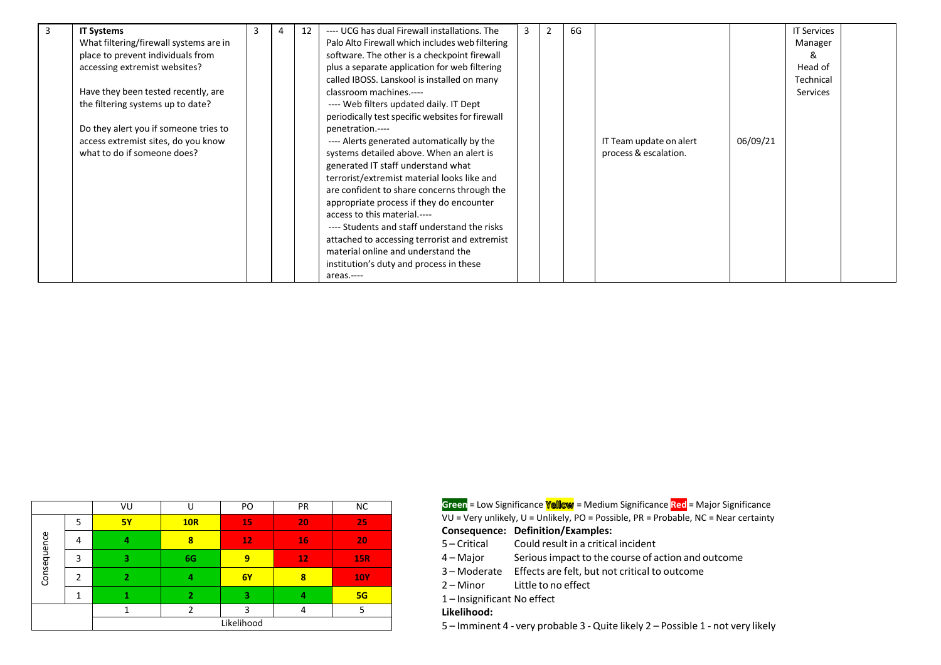| 3 | <b>IT Systems</b>                      | 3 | 4 | 12 | ---- UCG has dual Firewall installations. The    | 3 | $\overline{2}$ | 6G |                         |          | <b>IT Services</b> |  |
|---|----------------------------------------|---|---|----|--------------------------------------------------|---|----------------|----|-------------------------|----------|--------------------|--|
|   | What filtering/firewall systems are in |   |   |    | Palo Alto Firewall which includes web filtering  |   |                |    |                         |          | Manager            |  |
|   | place to prevent individuals from      |   |   |    | software. The other is a checkpoint firewall     |   |                |    |                         |          | &                  |  |
|   | accessing extremist websites?          |   |   |    | plus a separate application for web filtering    |   |                |    |                         |          | Head of            |  |
|   |                                        |   |   |    | called IBOSS. Lanskool is installed on many      |   |                |    |                         |          | Technical          |  |
|   | Have they been tested recently, are    |   |   |    | classroom machines.----                          |   |                |    |                         |          | Services           |  |
|   | the filtering systems up to date?      |   |   |    | ---- Web filters updated daily. IT Dept          |   |                |    |                         |          |                    |  |
|   |                                        |   |   |    | periodically test specific websites for firewall |   |                |    |                         |          |                    |  |
|   | Do they alert you if someone tries to  |   |   |    | penetration.----                                 |   |                |    |                         |          |                    |  |
|   | access extremist sites, do you know    |   |   |    | ---- Alerts generated automatically by the       |   |                |    | IT Team update on alert | 06/09/21 |                    |  |
|   | what to do if someone does?            |   |   |    | systems detailed above. When an alert is         |   |                |    | process & escalation.   |          |                    |  |
|   |                                        |   |   |    | generated IT staff understand what               |   |                |    |                         |          |                    |  |
|   |                                        |   |   |    | terrorist/extremist material looks like and      |   |                |    |                         |          |                    |  |
|   |                                        |   |   |    | are confident to share concerns through the      |   |                |    |                         |          |                    |  |
|   |                                        |   |   |    | appropriate process if they do encounter         |   |                |    |                         |          |                    |  |
|   |                                        |   |   |    | access to this material.----                     |   |                |    |                         |          |                    |  |
|   |                                        |   |   |    | ---- Students and staff understand the risks     |   |                |    |                         |          |                    |  |
|   |                                        |   |   |    | attached to accessing terrorist and extremist    |   |                |    |                         |          |                    |  |
|   |                                        |   |   |    | material online and understand the               |   |                |    |                         |          |                    |  |
|   |                                        |   |   |    | institution's duty and process in these          |   |                |    |                         |          |                    |  |
|   |                                        |   |   |    | areas.----                                       |   |                |    |                         |          |                    |  |

|             |               | VU             |                | PO         | PR | <b>NC</b>  |
|-------------|---------------|----------------|----------------|------------|----|------------|
|             | 5             | <b>5Y</b>      | <b>10R</b>     | 15         | 20 | 25         |
|             | 4             | 4              | 8              | 12         | 16 | 20         |
| Consequence | 3             | 3              | 6G             | 9          | 12 | <b>15R</b> |
|             | $\mathcal{P}$ | $\overline{2}$ | 4              | 6Y         | 8  | <b>10Y</b> |
|             |               |                | $\overline{2}$ | з          | 4  | 5G         |
|             |               |                |                | 3          | 4  | 5          |
|             |               |                |                | Likelihood |    |            |

| VU        |     | PO | <b>PR</b> | <b>NC</b> |
|-----------|-----|----|-----------|-----------|
| <b>5Y</b> | 10R |    | 20        |           |
|           |     |    | 16        | 20.       |
|           | 6G. |    |           | 15R.      |

- 3 Moderate Effects are felt, but not critical to outcome
- 2 Minor Little to no effect
- 1 Insignificant No effect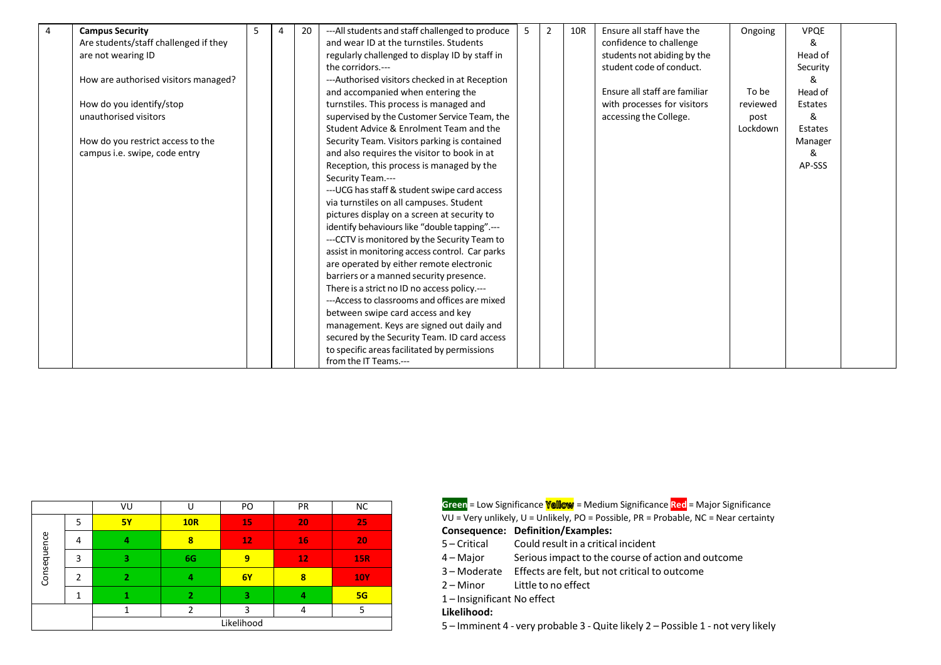| 4 | <b>Campus Security</b>                | 5 | 4 | 20 | --- All students and staff challenged to produce | -5 | $\overline{2}$ | 10R | Ensure all staff have the     | Ongoing  | <b>VPQE</b> |  |
|---|---------------------------------------|---|---|----|--------------------------------------------------|----|----------------|-----|-------------------------------|----------|-------------|--|
|   | Are students/staff challenged if they |   |   |    | and wear ID at the turnstiles. Students          |    |                |     | confidence to challenge       |          | &           |  |
|   | are not wearing ID                    |   |   |    | regularly challenged to display ID by staff in   |    |                |     | students not abiding by the   |          | Head of     |  |
|   |                                       |   |   |    | the corridors.---                                |    |                |     | student code of conduct.      |          | Security    |  |
|   | How are authorised visitors managed?  |   |   |    | ---Authorised visitors checked in at Reception   |    |                |     |                               |          | &           |  |
|   |                                       |   |   |    | and accompanied when entering the                |    |                |     | Ensure all staff are familiar | To be    | Head of     |  |
|   | How do you identify/stop              |   |   |    | turnstiles. This process is managed and          |    |                |     | with processes for visitors   | reviewed | Estates     |  |
|   | unauthorised visitors                 |   |   |    | supervised by the Customer Service Team, the     |    |                |     | accessing the College.        | post     | &           |  |
|   |                                       |   |   |    | Student Advice & Enrolment Team and the          |    |                |     |                               | Lockdown | Estates     |  |
|   | How do you restrict access to the     |   |   |    | Security Team. Visitors parking is contained     |    |                |     |                               |          | Manager     |  |
|   | campus i.e. swipe, code entry         |   |   |    | and also requires the visitor to book in at      |    |                |     |                               |          | &           |  |
|   |                                       |   |   |    | Reception, this process is managed by the        |    |                |     |                               |          | AP-SSS      |  |
|   |                                       |   |   |    | Security Team.---                                |    |                |     |                               |          |             |  |
|   |                                       |   |   |    | --- UCG has staff & student swipe card access    |    |                |     |                               |          |             |  |
|   |                                       |   |   |    | via turnstiles on all campuses. Student          |    |                |     |                               |          |             |  |
|   |                                       |   |   |    | pictures display on a screen at security to      |    |                |     |                               |          |             |  |
|   |                                       |   |   |    | identify behaviours like "double tapping".---    |    |                |     |                               |          |             |  |
|   |                                       |   |   |    | --- CCTV is monitored by the Security Team to    |    |                |     |                               |          |             |  |
|   |                                       |   |   |    | assist in monitoring access control. Car parks   |    |                |     |                               |          |             |  |
|   |                                       |   |   |    | are operated by either remote electronic         |    |                |     |                               |          |             |  |
|   |                                       |   |   |    | barriers or a manned security presence.          |    |                |     |                               |          |             |  |
|   |                                       |   |   |    | There is a strict no ID no access policy.---     |    |                |     |                               |          |             |  |
|   |                                       |   |   |    | ---Access to classrooms and offices are mixed    |    |                |     |                               |          |             |  |
|   |                                       |   |   |    | between swipe card access and key                |    |                |     |                               |          |             |  |
|   |                                       |   |   |    | management. Keys are signed out daily and        |    |                |     |                               |          |             |  |
|   |                                       |   |   |    | secured by the Security Team. ID card access     |    |                |     |                               |          |             |  |
|   |                                       |   |   |    | to specific areas facilitated by permissions     |    |                |     |                               |          |             |  |
|   |                                       |   |   |    | from the IT Teams.---                            |    |                |     |                               |          |             |  |

|             |   | VU        |                | PO         | PR | <b>NC</b>  |
|-------------|---|-----------|----------------|------------|----|------------|
|             | 5 | <b>5Y</b> | <b>10R</b>     | 15         | 20 | 25         |
| Consequence | 4 | 4         | 8              | 12         | 16 | 20         |
|             | 3 | 2         | 6G             | 9          | 12 | <b>15R</b> |
|             | 2 | 2         | 4              | 6Y         | 8  | <b>10Y</b> |
|             |   |           | $\overline{2}$ | з          | 4  | 5G         |
|             |   |           | C              | 3          | 4  | 5          |
|             |   |           |                | Likelihood |    |            |

VU = Very unlikely, U = Unlikely, PO = Possible, PR = Probable, NC = Near certainty **Green** = Low Significance **Yellow** = Medium Significance **Red** = Major Significance

### **Consequence: Definition/Examples:**

- 5 Critical Could result in a critical incident
- 4 Major Seriousimpact to the course of action and outcome
- 3 Moderate Effects are felt, but not critical to outcome
- 2 Minor Little to no effect
- 1 Insignificant No effect

### **Likelihood:**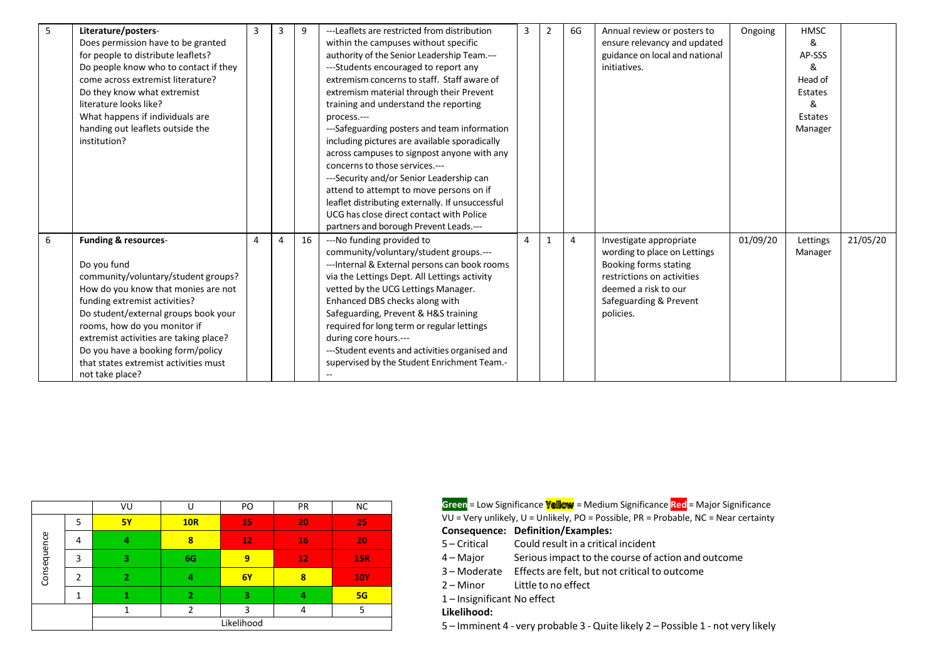| 5 | Literature/posters-                    | $\overline{3}$ | 3              | 9  | ---Leaflets are restricted from distribution     | 3 | $\overline{2}$ | 6G             | Annual review or posters to    | Ongoing  | <b>HMSC</b> |          |
|---|----------------------------------------|----------------|----------------|----|--------------------------------------------------|---|----------------|----------------|--------------------------------|----------|-------------|----------|
|   | Does permission have to be granted     |                |                |    | within the campuses without specific             |   |                |                | ensure relevancy and updated   |          | &           |          |
|   | for people to distribute leaflets?     |                |                |    | authority of the Senior Leadership Team.---      |   |                |                | guidance on local and national |          | AP-SSS      |          |
|   | Do people know who to contact if they  |                |                |    | ---Students encouraged to report any             |   |                |                | initiatives.                   |          | &           |          |
|   | come across extremist literature?      |                |                |    | extremism concerns to staff. Staff aware of      |   |                |                |                                |          | Head of     |          |
|   | Do they know what extremist            |                |                |    | extremism material through their Prevent         |   |                |                |                                |          | Estates     |          |
|   | literature looks like?                 |                |                |    | training and understand the reporting            |   |                |                |                                |          | &           |          |
|   | What happens if individuals are        |                |                |    | process.---                                      |   |                |                |                                |          | Estates     |          |
|   | handing out leaflets outside the       |                |                |    | ---Safeguarding posters and team information     |   |                |                |                                |          | Manager     |          |
|   | institution?                           |                |                |    | including pictures are available sporadically    |   |                |                |                                |          |             |          |
|   |                                        |                |                |    | across campuses to signpost anyone with any      |   |                |                |                                |          |             |          |
|   |                                        |                |                |    | concerns to those services.---                   |   |                |                |                                |          |             |          |
|   |                                        |                |                |    | ---Security and/or Senior Leadership can         |   |                |                |                                |          |             |          |
|   |                                        |                |                |    | attend to attempt to move persons on if          |   |                |                |                                |          |             |          |
|   |                                        |                |                |    | leaflet distributing externally. If unsuccessful |   |                |                |                                |          |             |          |
|   |                                        |                |                |    | UCG has close direct contact with Police         |   |                |                |                                |          |             |          |
|   |                                        |                |                |    | partners and borough Prevent Leads.---           |   |                |                |                                |          |             |          |
| 6 | <b>Funding &amp; resources-</b>        | $\Delta$       | $\overline{4}$ | 16 | ---No funding provided to                        | 4 | $\mathbf{1}$   | $\overline{4}$ | Investigate appropriate        | 01/09/20 | Lettings    | 21/05/20 |
|   |                                        |                |                |    | community/voluntary/student groups .---          |   |                |                | wording to place on Lettings   |          | Manager     |          |
|   | Do you fund                            |                |                |    | --- Internal & External persons can book rooms   |   |                |                | Booking forms stating          |          |             |          |
|   | community/voluntary/student groups?    |                |                |    | via the Lettings Dept. All Lettings activity     |   |                |                | restrictions on activities     |          |             |          |
|   | How do you know that monies are not    |                |                |    | vetted by the UCG Lettings Manager.              |   |                |                | deemed a risk to our           |          |             |          |
|   | funding extremist activities?          |                |                |    | Enhanced DBS checks along with                   |   |                |                | Safeguarding & Prevent         |          |             |          |
|   | Do student/external groups book your   |                |                |    | Safeguarding, Prevent & H&S training             |   |                |                | policies.                      |          |             |          |
|   | rooms, how do you monitor if           |                |                |    | required for long term or regular lettings       |   |                |                |                                |          |             |          |
|   | extremist activities are taking place? |                |                |    | during core hours.---                            |   |                |                |                                |          |             |          |
|   | Do you have a booking form/policy      |                |                |    | ---Student events and activities organised and   |   |                |                |                                |          |             |          |
|   | that states extremist activities must  |                |                |    | supervised by the Student Enrichment Team.-      |   |                |                |                                |          |             |          |
|   | not take place?                        |                |                |    |                                                  |   |                |                |                                |          |             |          |

|             |   | VU         |                | PO | PR | <b>NC</b>  |  |  |  |
|-------------|---|------------|----------------|----|----|------------|--|--|--|
|             | 5 | <b>5Y</b>  | <b>10R</b>     | 15 | 20 | 25         |  |  |  |
| Consequence | 4 |            | 8              | 12 | 16 | 20         |  |  |  |
|             | 3 | 3          | 6G             | 9  | 12 | <b>15R</b> |  |  |  |
|             | 2 | 2          | 4              | 6Y | 8  | <b>10Y</b> |  |  |  |
|             |   |            | $\overline{2}$ | 3  | 4  | 5G         |  |  |  |
|             |   |            | ำ              | 3  |    | 5          |  |  |  |
|             |   | Likelihood |                |    |    |            |  |  |  |

VU = Very unlikely, U = Unlikely, PO = Possible, PR = Probable, NC = Near certainty **Consequence: Definition/Examples:** 5 – Critical 4 – Major 3 – Moderate Effects are felt, but not critical to outcome 2 – Minor Could result in a critical incident Seriousimpact to the course of action and outcome Little to no effect 1 – Insignificant No effect **Likelihood: Green** = Low Significance **Yellow** = Medium Significance Red = Major Significance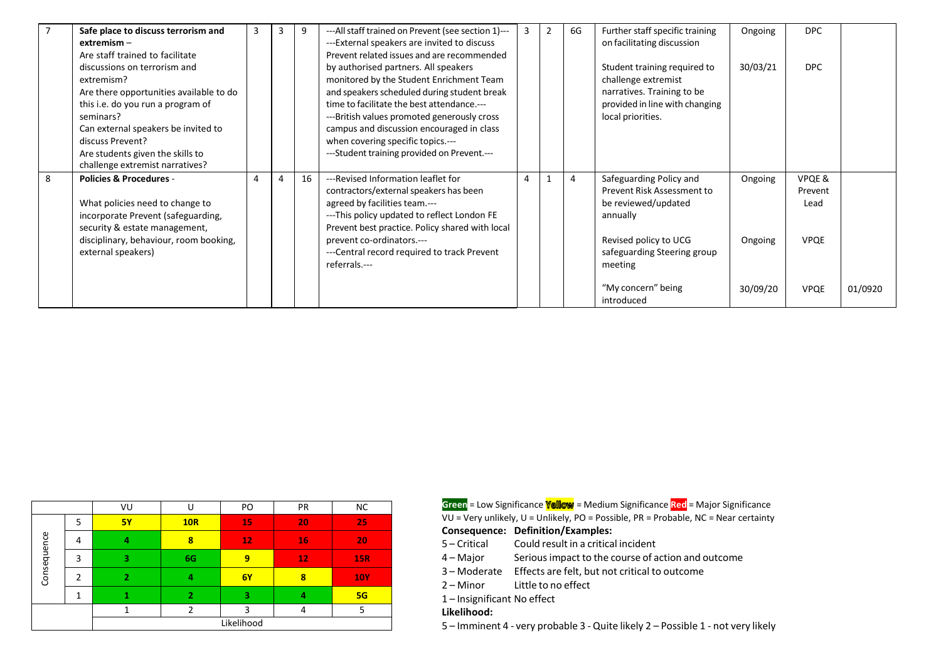|   | Safe place to discuss terrorism and     | 3 | 9  | --- All staff trained on Prevent (see section 1)--- | 3 | $\overline{2}$ | 6G | Further staff specific training | Ongoing  | DPC.        |         |
|---|-----------------------------------------|---|----|-----------------------------------------------------|---|----------------|----|---------------------------------|----------|-------------|---------|
|   | $extremism -$                           |   |    | ---External speakers are invited to discuss         |   |                |    | on facilitating discussion      |          |             |         |
|   | Are staff trained to facilitate         |   |    | Prevent related issues and are recommended          |   |                |    |                                 |          |             |         |
|   | discussions on terrorism and            |   |    | by authorised partners. All speakers                |   |                |    | Student training required to    | 30/03/21 | DPC.        |         |
|   | extremism?                              |   |    | monitored by the Student Enrichment Team            |   |                |    | challenge extremist             |          |             |         |
|   | Are there opportunities available to do |   |    | and speakers scheduled during student break         |   |                |    | narratives. Training to be      |          |             |         |
|   | this i.e. do you run a program of       |   |    | time to facilitate the best attendance.---          |   |                |    | provided in line with changing  |          |             |         |
|   | seminars?                               |   |    | ---British values promoted generously cross         |   |                |    | local priorities.               |          |             |         |
|   | Can external speakers be invited to     |   |    | campus and discussion encouraged in class           |   |                |    |                                 |          |             |         |
|   | discuss Prevent?                        |   |    | when covering specific topics.---                   |   |                |    |                                 |          |             |         |
|   | Are students given the skills to        |   |    | ---Student training provided on Prevent.---         |   |                |    |                                 |          |             |         |
|   | challenge extremist narratives?         |   |    |                                                     |   |                |    |                                 |          |             |         |
| 8 | <b>Policies &amp; Procedures -</b>      |   | 16 | ---Revised Information leaflet for                  | 4 |                | 4  | Safeguarding Policy and         | Ongoing  | VPQE&       |         |
|   |                                         |   |    | contractors/external speakers has been              |   |                |    | Prevent Risk Assessment to      |          | Prevent     |         |
|   | What policies need to change to         |   |    | agreed by facilities team.---                       |   |                |    | be reviewed/updated             |          | Lead        |         |
|   | incorporate Prevent (safeguarding,      |   |    | ---This policy updated to reflect London FE         |   |                |    | annually                        |          |             |         |
|   | security & estate management,           |   |    | Prevent best practice. Policy shared with local     |   |                |    |                                 |          |             |         |
|   | disciplinary, behaviour, room booking,  |   |    | prevent co-ordinators.---                           |   |                |    | Revised policy to UCG           | Ongoing  | <b>VPQE</b> |         |
|   | external speakers)                      |   |    | ---Central record required to track Prevent         |   |                |    | safeguarding Steering group     |          |             |         |
|   |                                         |   |    | referrals.---                                       |   |                |    | meeting                         |          |             |         |
|   |                                         |   |    |                                                     |   |                |    |                                 |          |             |         |
|   |                                         |   |    |                                                     |   |                |    | "My concern" being              | 30/09/20 | <b>VPQE</b> | 01/0920 |
|   |                                         |   |    |                                                     |   |                |    | introduced                      |          |             |         |

|             |   | VU                       | U          | PO         | PR | <b>NC</b>  |
|-------------|---|--------------------------|------------|------------|----|------------|
|             | 5 | <b>5Y</b>                | <b>10R</b> | 15         | 20 | 25         |
| Consequence | 4 | Δ                        | 8          | 12         | 16 | 20         |
|             | 3 | 3                        | 6G         | 9          | 12 | <b>15R</b> |
|             | 2 | $\overline{\phantom{a}}$ | 4          | 6Y         | 8  | <b>10Y</b> |
|             |   |                          | 2          | з          | 4  | 5G         |
|             |   |                          | C          | 3          | 4  | 5          |
|             |   |                          |            | Likelihood |    |            |

| VU        |     | PO | PR | <b>NC</b>  |
|-----------|-----|----|----|------------|
| <b>5Y</b> | 10R | 15 | 20 | 25.        |
|           |     |    |    |            |
|           | 8   | 12 | 16 | 20.        |
|           | 6G  |    | 12 | 15R        |
|           |     | 6Y |    | <b>10Y</b> |
|           |     |    |    |            |
|           |     |    |    |            |

1 – Insignificant No effect

### **Likelihood:**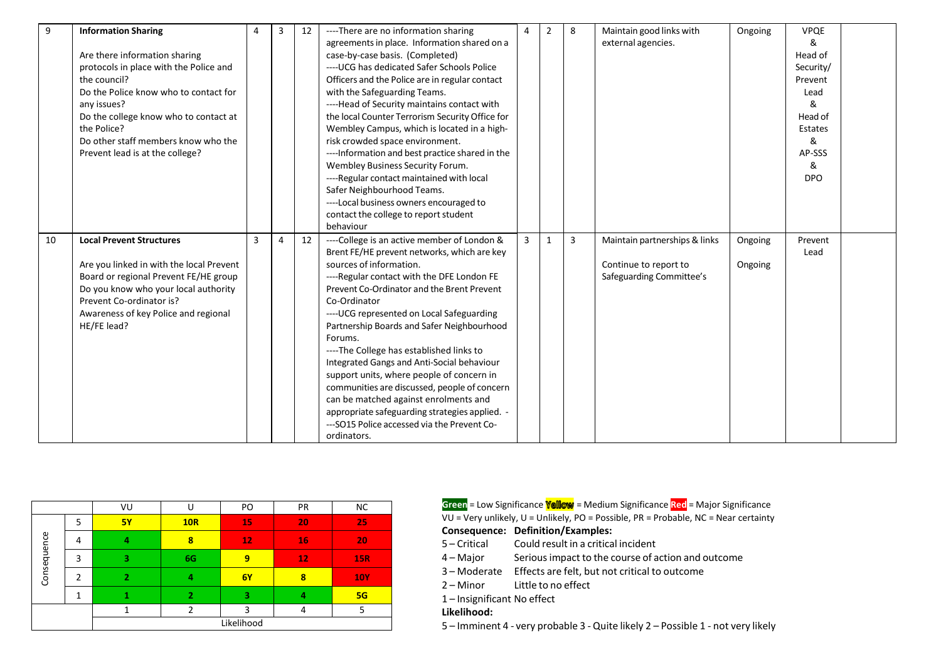| 9  | <b>Information Sharing</b>               | Δ | 3              | 12 | ---- There are no information sharing            | 4 | $\overline{2}$ | 8 | Maintain good links with      | Ongoing | <b>VPQE</b> |  |
|----|------------------------------------------|---|----------------|----|--------------------------------------------------|---|----------------|---|-------------------------------|---------|-------------|--|
|    |                                          |   |                |    | agreements in place. Information shared on a     |   |                |   | external agencies.            |         | &           |  |
|    | Are there information sharing            |   |                |    | case-by-case basis. (Completed)                  |   |                |   |                               |         | Head of     |  |
|    | protocols in place with the Police and   |   |                |    | ---- UCG has dedicated Safer Schools Police      |   |                |   |                               |         | Security/   |  |
|    | the council?                             |   |                |    | Officers and the Police are in regular contact   |   |                |   |                               |         | Prevent     |  |
|    | Do the Police know who to contact for    |   |                |    | with the Safeguarding Teams.                     |   |                |   |                               |         | Lead        |  |
|    | any issues?                              |   |                |    | ----Head of Security maintains contact with      |   |                |   |                               |         | &           |  |
|    | Do the college know who to contact at    |   |                |    | the local Counter Terrorism Security Office for  |   |                |   |                               |         | Head of     |  |
|    | the Police?                              |   |                |    | Wembley Campus, which is located in a high-      |   |                |   |                               |         | Estates     |  |
|    | Do other staff members know who the      |   |                |    | risk crowded space environment.                  |   |                |   |                               |         | &           |  |
|    | Prevent lead is at the college?          |   |                |    | ---- Information and best practice shared in the |   |                |   |                               |         | AP-SSS      |  |
|    |                                          |   |                |    | Wembley Business Security Forum.                 |   |                |   |                               |         | &           |  |
|    |                                          |   |                |    | ----Regular contact maintained with local        |   |                |   |                               |         | <b>DPO</b>  |  |
|    |                                          |   |                |    | Safer Neighbourhood Teams.                       |   |                |   |                               |         |             |  |
|    |                                          |   |                |    | ----Local business owners encouraged to          |   |                |   |                               |         |             |  |
|    |                                          |   |                |    | contact the college to report student            |   |                |   |                               |         |             |  |
|    |                                          |   |                |    | behaviour                                        |   |                |   |                               |         |             |  |
|    |                                          |   |                |    |                                                  |   |                |   |                               |         |             |  |
| 10 | <b>Local Prevent Structures</b>          | 3 | $\overline{4}$ | 12 | ----College is an active member of London &      | 3 | 1              | 3 | Maintain partnerships & links | Ongoing | Prevent     |  |
|    |                                          |   |                |    | Brent FE/HE prevent networks, which are key      |   |                |   |                               |         | Lead        |  |
|    | Are you linked in with the local Prevent |   |                |    | sources of information.                          |   |                |   | Continue to report to         | Ongoing |             |  |
|    | Board or regional Prevent FE/HE group    |   |                |    | ----Regular contact with the DFE London FE       |   |                |   | Safeguarding Committee's      |         |             |  |
|    | Do you know who your local authority     |   |                |    | Prevent Co-Ordinator and the Brent Prevent       |   |                |   |                               |         |             |  |
|    | Prevent Co-ordinator is?                 |   |                |    | Co-Ordinator                                     |   |                |   |                               |         |             |  |
|    | Awareness of key Police and regional     |   |                |    | ---- UCG represented on Local Safeguarding       |   |                |   |                               |         |             |  |
|    | HE/FE lead?                              |   |                |    | Partnership Boards and Safer Neighbourhood       |   |                |   |                               |         |             |  |
|    |                                          |   |                |    | Forums.                                          |   |                |   |                               |         |             |  |
|    |                                          |   |                |    | ----The College has established links to         |   |                |   |                               |         |             |  |
|    |                                          |   |                |    | Integrated Gangs and Anti-Social behaviour       |   |                |   |                               |         |             |  |
|    |                                          |   |                |    | support units, where people of concern in        |   |                |   |                               |         |             |  |
|    |                                          |   |                |    | communities are discussed, people of concern     |   |                |   |                               |         |             |  |
|    |                                          |   |                |    | can be matched against enrolments and            |   |                |   |                               |         |             |  |
|    |                                          |   |                |    | appropriate safeguarding strategies applied. -   |   |                |   |                               |         |             |  |
|    |                                          |   |                |    | ---SO15 Police accessed via the Prevent Co-      |   |                |   |                               |         |             |  |

|             |                | VU        | U              | PO         | PR | <b>NC</b>  |
|-------------|----------------|-----------|----------------|------------|----|------------|
|             | 5              | <b>5Y</b> | <b>10R</b>     | 15         | 20 | 25         |
| Consequence | 4              | 4         | 8              | 12         | 16 | 20         |
|             | 3              | З         | 6G             | 9          | 12 | <b>15R</b> |
|             | $\mathfrak{p}$ |           | 4              | <b>6Y</b>  | 8  | <b>10Y</b> |
|             | 4              |           | $\overline{2}$ | 3          | 4  | 5G         |
|             |                |           | $\mathfrak{p}$ | 3          | 4  | 5          |
|             |                |           |                | Likelihood |    |            |

| VU        |     | PO | РR | ΝC         |
|-----------|-----|----|----|------------|
| <b>5Y</b> | 10R | 15 | 20 | 25         |
|           | 87  | 12 | 16 | 20         |
|           | 6G  |    | 12 | 15R.       |
|           |     | 6Y | 8  | <b>10Y</b> |
|           |     |    |    | 5G         |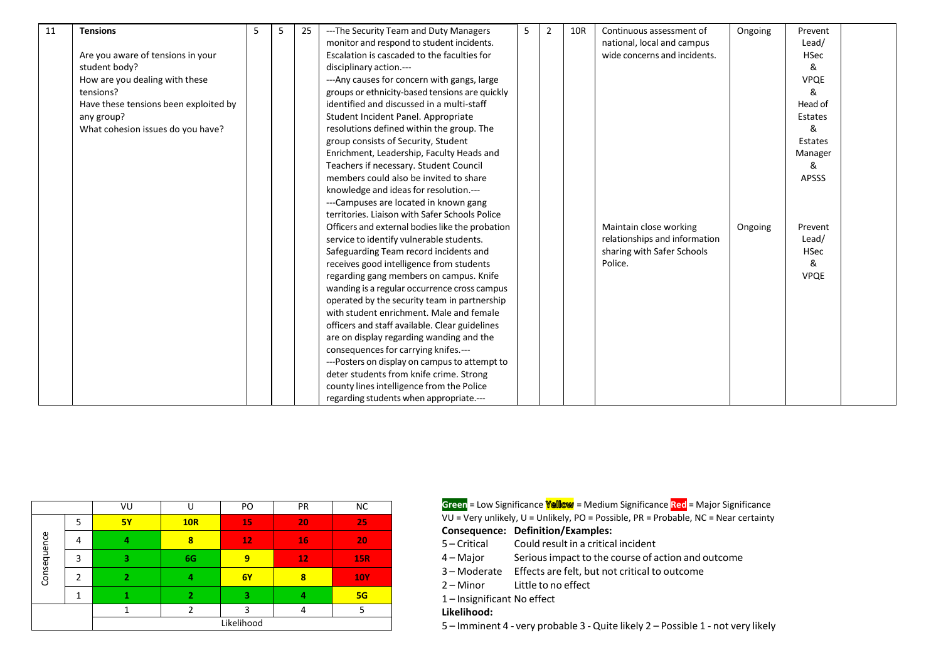| 11 | <b>Tensions</b>                       | 5 | 5 | 25 | ---The Security Team and Duty Managers          | 5 | $\overline{2}$ | 10R | Continuous assessment of      | Ongoing | Prevent      |  |
|----|---------------------------------------|---|---|----|-------------------------------------------------|---|----------------|-----|-------------------------------|---------|--------------|--|
|    |                                       |   |   |    | monitor and respond to student incidents.       |   |                |     | national, local and campus    |         | Lead/        |  |
|    | Are you aware of tensions in your     |   |   |    | Escalation is cascaded to the faculties for     |   |                |     | wide concerns and incidents.  |         | <b>HSec</b>  |  |
|    | student body?                         |   |   |    | disciplinary action.---                         |   |                |     |                               |         | &            |  |
|    | How are you dealing with these        |   |   |    | --- Any causes for concern with gangs, large    |   |                |     |                               |         | <b>VPQE</b>  |  |
|    | tensions?                             |   |   |    | groups or ethnicity-based tensions are quickly  |   |                |     |                               |         | &            |  |
|    | Have these tensions been exploited by |   |   |    | identified and discussed in a multi-staff       |   |                |     |                               |         | Head of      |  |
|    | any group?                            |   |   |    | Student Incident Panel. Appropriate             |   |                |     |                               |         | Estates      |  |
|    | What cohesion issues do you have?     |   |   |    | resolutions defined within the group. The       |   |                |     |                               |         | &            |  |
|    |                                       |   |   |    | group consists of Security, Student             |   |                |     |                               |         | Estates      |  |
|    |                                       |   |   |    | Enrichment, Leadership, Faculty Heads and       |   |                |     |                               |         | Manager      |  |
|    |                                       |   |   |    | Teachers if necessary. Student Council          |   |                |     |                               |         | &            |  |
|    |                                       |   |   |    | members could also be invited to share          |   |                |     |                               |         | <b>APSSS</b> |  |
|    |                                       |   |   |    | knowledge and ideas for resolution.---          |   |                |     |                               |         |              |  |
|    |                                       |   |   |    | ---Campuses are located in known gang           |   |                |     |                               |         |              |  |
|    |                                       |   |   |    | territories. Liaison with Safer Schools Police  |   |                |     |                               |         |              |  |
|    |                                       |   |   |    | Officers and external bodies like the probation |   |                |     | Maintain close working        | Ongoing | Prevent      |  |
|    |                                       |   |   |    | service to identify vulnerable students.        |   |                |     | relationships and information |         | Lead/        |  |
|    |                                       |   |   |    | Safeguarding Team record incidents and          |   |                |     | sharing with Safer Schools    |         | <b>HSec</b>  |  |
|    |                                       |   |   |    | receives good intelligence from students        |   |                |     | Police.                       |         | &            |  |
|    |                                       |   |   |    | regarding gang members on campus. Knife         |   |                |     |                               |         | <b>VPQE</b>  |  |
|    |                                       |   |   |    | wanding is a regular occurrence cross campus    |   |                |     |                               |         |              |  |
|    |                                       |   |   |    | operated by the security team in partnership    |   |                |     |                               |         |              |  |
|    |                                       |   |   |    | with student enrichment. Male and female        |   |                |     |                               |         |              |  |
|    |                                       |   |   |    | officers and staff available. Clear guidelines  |   |                |     |                               |         |              |  |
|    |                                       |   |   |    | are on display regarding wanding and the        |   |                |     |                               |         |              |  |
|    |                                       |   |   |    | consequences for carrying knifes.---            |   |                |     |                               |         |              |  |
|    |                                       |   |   |    | ---Posters on display on campus to attempt to   |   |                |     |                               |         |              |  |
|    |                                       |   |   |    | deter students from knife crime. Strong         |   |                |     |                               |         |              |  |
|    |                                       |   |   |    | county lines intelligence from the Police       |   |                |     |                               |         |              |  |
|    |                                       |   |   |    | regarding students when appropriate.---         |   |                |     |                               |         |              |  |

|             |               | VU        |                | PO         | PR | <b>NC</b>  |
|-------------|---------------|-----------|----------------|------------|----|------------|
|             | 5             | <b>5Y</b> | <b>10R</b>     | 15         | 20 | 25         |
| Consequence | 4             | 4         | 8              | 12         | 16 | 20         |
|             | 3             | 3         | 6G             | 9          | 12 | <b>15R</b> |
|             | $\mathcal{P}$ | 2         | 4              | 6Y         | 8  | <b>10Y</b> |
|             |               | 1         | $\overline{2}$ | з          | 4  | 5G         |
|             |               |           | ∍              | 3          | 4  | 5          |
|             |               |           |                | Likelihood |    |            |

VU = Very unlikely, U = Unlikely, PO = Possible, PR = Probable, NC = Near certainty **Consequence: Definition/Examples:** 5 – Critical 4 – Major 3 – Moderate Effects are felt, but not critical to outcome 2 – Minor Could result in a critical incident Seriousimpact to the course of action and outcome Little to no effect 1 – Insignificant No effect **Likelihood: Green** = Low Significance **Yellow** = Medium Significance **Red** = Major Significance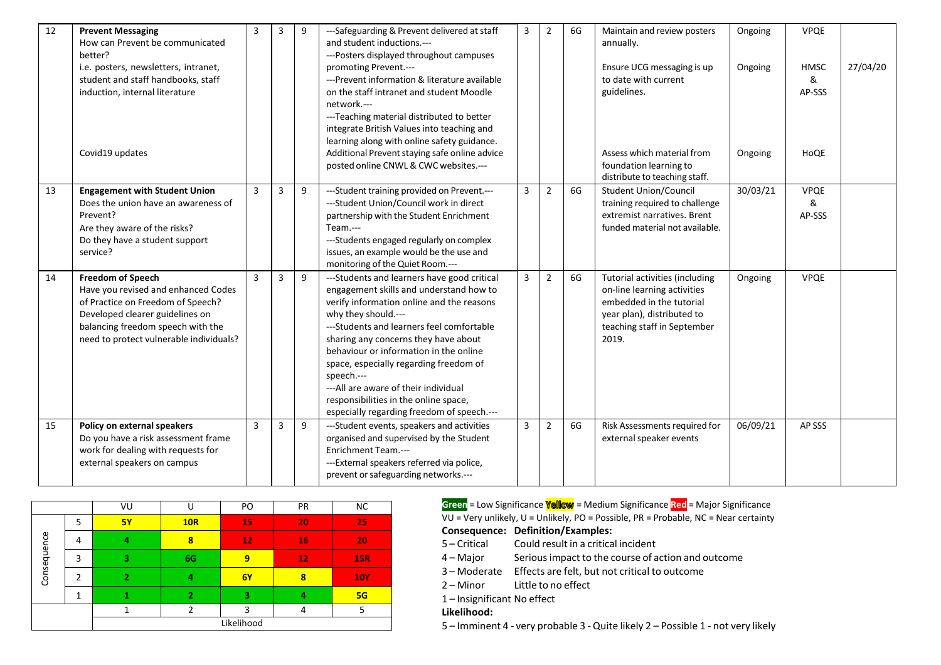| 12 | <b>Prevent Messaging</b><br>How can Prevent be communicated<br>better?<br>i.e. posters, newsletters, intranet,<br>student and staff handbooks, staff<br>induction, internal literature<br>Covid19 updates               | 3              |   | 9 | ---Safeguarding & Prevent delivered at staff<br>and student inductions.---<br>---Posters displayed throughout campuses<br>promoting Prevent.---<br>---Prevent information & literature available<br>on the staff intranet and student Moodle<br>network.---<br>---Teaching material distributed to better<br>integrate British Values into teaching and<br>learning along with online safety guidance.<br>Additional Prevent staying safe online advice<br>posted online CNWL & CWC websites.--- | 3 | $\overline{2}$ | 6G | Maintain and review posters<br>annually.<br>Ensure UCG messaging is up<br>to date with current<br>guidelines.<br>Assess which material from<br>foundation learning to<br>distribute to teaching staff. | Ongoing<br>Ongoing<br>Ongoing | <b>VPQE</b><br><b>HMSC</b><br>&<br>AP-SSS<br>HoQE | 27/04/20 |
|----|-------------------------------------------------------------------------------------------------------------------------------------------------------------------------------------------------------------------------|----------------|---|---|--------------------------------------------------------------------------------------------------------------------------------------------------------------------------------------------------------------------------------------------------------------------------------------------------------------------------------------------------------------------------------------------------------------------------------------------------------------------------------------------------|---|----------------|----|--------------------------------------------------------------------------------------------------------------------------------------------------------------------------------------------------------|-------------------------------|---------------------------------------------------|----------|
| 13 | <b>Engagement with Student Union</b><br>Does the union have an awareness of<br>Prevent?<br>Are they aware of the risks?<br>Do they have a student support<br>service?                                                   | $\overline{3}$ | 3 | 9 | ---Student training provided on Prevent.---<br>--- Student Union/Council work in direct<br>partnership with the Student Enrichment<br>Team.---<br>---Students engaged regularly on complex<br>issues, an example would be the use and<br>monitoring of the Quiet Room .---                                                                                                                                                                                                                       | 3 | $\overline{2}$ | 6G | <b>Student Union/Council</b><br>training required to challenge<br>extremist narratives. Brent<br>funded material not available.                                                                        | 30/03/21                      | <b>VPQE</b><br>&<br>AP-SSS                        |          |
| 14 | <b>Freedom of Speech</b><br>Have you revised and enhanced Codes<br>of Practice on Freedom of Speech?<br>Developed clearer guidelines on<br>balancing freedom speech with the<br>need to protect vulnerable individuals? | $\overline{3}$ | 3 | 9 | ---Students and learners have good critical<br>engagement skills and understand how to<br>verify information online and the reasons<br>why they should.---<br>---Students and learners feel comfortable<br>sharing any concerns they have about<br>behaviour or information in the online<br>space, especially regarding freedom of<br>speech.---<br>--- All are aware of their individual<br>responsibilities in the online space,<br>especially regarding freedom of speech.---                | 3 | $\overline{2}$ | 6G | Tutorial activities (including<br>on-line learning activities<br>embedded in the tutorial<br>year plan), distributed to<br>teaching staff in September<br>2019.                                        | Ongoing                       | <b>VPQE</b>                                       |          |
| 15 | Policy on external speakers<br>Do you have a risk assessment frame<br>work for dealing with requests for<br>external speakers on campus                                                                                 | $\overline{3}$ | 3 | 9 | ---Student events, speakers and activities<br>organised and supervised by the Student<br>Enrichment Team.---<br>---External speakers referred via police,<br>prevent or safeguarding networks.---                                                                                                                                                                                                                                                                                                | 3 | $\overline{2}$ | 6G | Risk Assessments required for<br>external speaker events                                                                                                                                               | 06/09/21                      | AP SSS                                            |          |

|             |                | VU        | U                        | PO         | PR | <b>NC</b>  |
|-------------|----------------|-----------|--------------------------|------------|----|------------|
|             | 5              | <b>5Y</b> | <b>10R</b>               | 15         | 20 | 25         |
|             | 4              | 4         | 8                        | 12         | 16 | 20         |
| Consequence | 3              | 3         | 6G                       | 9          | 12 | <b>15R</b> |
|             | $\mathfrak{p}$ | 2         | 4                        | 6Y         | 8  | <b>10Y</b> |
|             |                |           | $\overline{\phantom{a}}$ | з          |    | 5G         |
|             |                |           |                          | 3          |    | 5          |
|             |                |           |                          | Likelihood |    |            |

| VU        |     | PO | <b>PR</b> | <b>NC</b>  |
|-----------|-----|----|-----------|------------|
| <b>5Y</b> | 10R | 15 | 20        | 25         |
|           | 8   | 12 | 16        | 20         |
|           | 6G  | 9  | 12        | <b>15R</b> |
|           |     | 6Y | 8         | <b>10Y</b> |
|           |     |    |           | 5G         |
|           |     |    |           |            |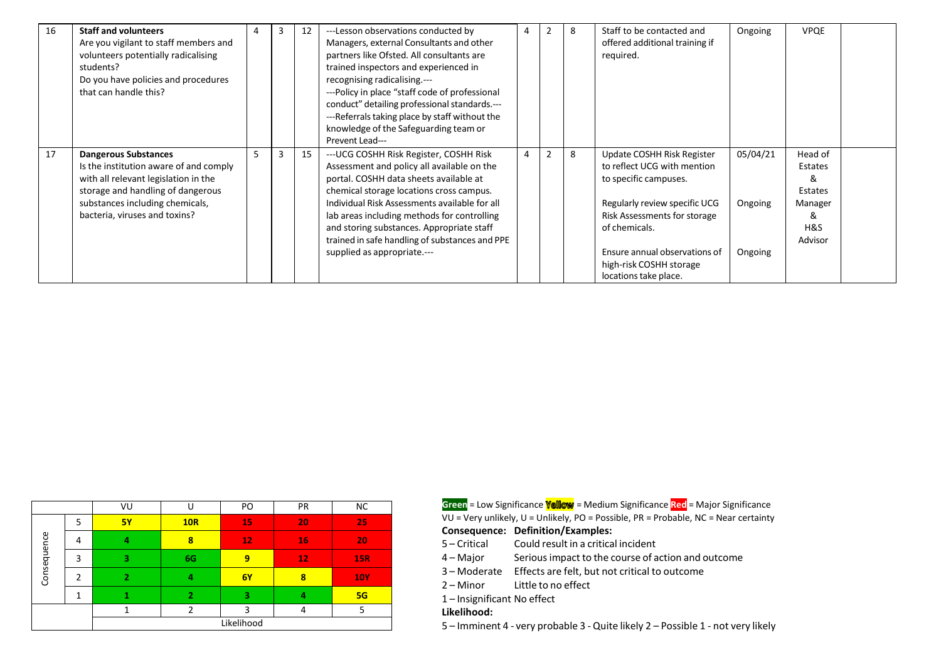| 16 | <b>Staff and volunteers</b>            | 4 | 3 | 12 | ---Lesson observations conducted by            | 4 |   | 8 | Staff to be contacted and      | Ongoing  | <b>VPQE</b> |  |
|----|----------------------------------------|---|---|----|------------------------------------------------|---|---|---|--------------------------------|----------|-------------|--|
|    | Are you vigilant to staff members and  |   |   |    | Managers, external Consultants and other       |   |   |   | offered additional training if |          |             |  |
|    | volunteers potentially radicalising    |   |   |    | partners like Ofsted. All consultants are      |   |   |   | required.                      |          |             |  |
|    | students?                              |   |   |    | trained inspectors and experienced in          |   |   |   |                                |          |             |  |
|    | Do you have policies and procedures    |   |   |    | recognising radicalising.---                   |   |   |   |                                |          |             |  |
|    | that can handle this?                  |   |   |    | ---Policy in place "staff code of professional |   |   |   |                                |          |             |  |
|    |                                        |   |   |    | conduct" detailing professional standards.---  |   |   |   |                                |          |             |  |
|    |                                        |   |   |    | ---Referrals taking place by staff without the |   |   |   |                                |          |             |  |
|    |                                        |   |   |    | knowledge of the Safeguarding team or          |   |   |   |                                |          |             |  |
|    |                                        |   |   |    | Prevent Lead---                                |   |   |   |                                |          |             |  |
| 17 | <b>Dangerous Substances</b>            | 5 | 3 | 15 | --- UCG COSHH Risk Register, COSHH Risk        | 4 | 2 | 8 | Update COSHH Risk Register     | 05/04/21 | Head of     |  |
|    | Is the institution aware of and comply |   |   |    | Assessment and policy all available on the     |   |   |   | to reflect UCG with mention    |          | Estates     |  |
|    | with all relevant legislation in the   |   |   |    | portal. COSHH data sheets available at         |   |   |   | to specific campuses.          |          | &           |  |
|    | storage and handling of dangerous      |   |   |    | chemical storage locations cross campus.       |   |   |   |                                |          | Estates     |  |
|    | substances including chemicals,        |   |   |    | Individual Risk Assessments available for all  |   |   |   | Regularly review specific UCG  | Ongoing  | Manager     |  |
|    | bacteria, viruses and toxins?          |   |   |    | lab areas including methods for controlling    |   |   |   | Risk Assessments for storage   |          | &           |  |
|    |                                        |   |   |    | and storing substances. Appropriate staff      |   |   |   | of chemicals.                  |          | H&S         |  |
|    |                                        |   |   |    | trained in safe handling of substances and PPE |   |   |   |                                |          | Advisor     |  |
|    |                                        |   |   |    | supplied as appropriate.---                    |   |   |   | Ensure annual observations of  | Ongoing  |             |  |
|    |                                        |   |   |    |                                                |   |   |   | high-risk COSHH storage        |          |             |  |
|    |                                        |   |   |    |                                                |   |   |   | locations take place.          |          |             |  |

|             |   | VU             |            | PO        | PR | <b>NC</b>  |  |  |
|-------------|---|----------------|------------|-----------|----|------------|--|--|
|             | 5 | <b>5Y</b>      | <b>10R</b> | 15        | 20 | 25         |  |  |
| Consequence | 4 | 4              | 8          | 12        | 16 | 20         |  |  |
|             | 3 | 3              | 6G         | 9         | 12 | <b>15R</b> |  |  |
|             | າ | $\overline{2}$ | 4          | <b>6Y</b> | 8  | <b>10Y</b> |  |  |
|             |   |                | 2          | з         | 4  | 5G         |  |  |
|             |   |                | h          | 3         | 4  | 5          |  |  |
| Likelihood  |   |                |            |           |    |            |  |  |

| VU        |     |     |           |            |
|-----------|-----|-----|-----------|------------|
|           |     | PO  | <b>PR</b> | <b>NC</b>  |
| <b>5Y</b> | 10R | 15. | 20        | 25         |
|           |     |     |           |            |
|           | 8   | 12  | 16        | 20         |
|           |     |     |           |            |
|           | 6G  | 9   | 12        | 15R.       |
|           |     |     |           |            |
|           | д   | 6Y  |           | <b>10Y</b> |
|           |     |     |           |            |

1 – Insignificant No effect

### **Likelihood:**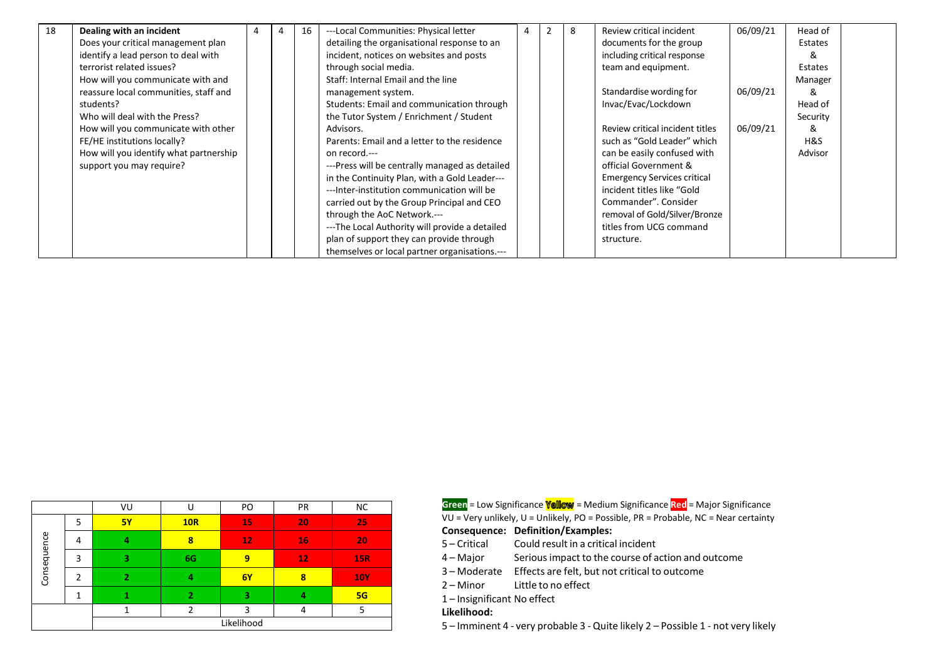| 18 | Dealing with an incident               |  | 16 | ---Local Communities: Physical letter          | 4 | 2 | 8 | Review critical incident           | 06/09/21 | Head of  |  |
|----|----------------------------------------|--|----|------------------------------------------------|---|---|---|------------------------------------|----------|----------|--|
|    | Does your critical management plan     |  |    | detailing the organisational response to an    |   |   |   | documents for the group            |          | Estates  |  |
|    | identify a lead person to deal with    |  |    | incident, notices on websites and posts        |   |   |   | including critical response        |          | 8        |  |
|    | terrorist related issues?              |  |    | through social media.                          |   |   |   | team and equipment.                |          | Estates  |  |
|    | How will you communicate with and      |  |    | Staff: Internal Email and the line             |   |   |   |                                    |          | Manager  |  |
|    | reassure local communities, staff and  |  |    | management system.                             |   |   |   | Standardise wording for            | 06/09/21 | &        |  |
|    | students?                              |  |    | Students: Email and communication through      |   |   |   | Invac/Evac/Lockdown                |          | Head of  |  |
|    | Who will deal with the Press?          |  |    | the Tutor System / Enrichment / Student        |   |   |   |                                    |          | Security |  |
|    | How will you communicate with other    |  |    | Advisors.                                      |   |   |   | Review critical incident titles    | 06/09/21 | &        |  |
|    | FE/HE institutions locally?            |  |    | Parents: Email and a letter to the residence   |   |   |   | such as "Gold Leader" which        |          | H&S      |  |
|    | How will you identify what partnership |  |    | on record.---                                  |   |   |   | can be easily confused with        |          | Advisor  |  |
|    | support you may require?               |  |    | ---Press will be centrally managed as detailed |   |   |   | official Government &              |          |          |  |
|    |                                        |  |    | in the Continuity Plan, with a Gold Leader---  |   |   |   | <b>Emergency Services critical</b> |          |          |  |
|    |                                        |  |    | ---Inter-institution communication will be     |   |   |   | incident titles like "Gold         |          |          |  |
|    |                                        |  |    | carried out by the Group Principal and CEO     |   |   |   | Commander". Consider               |          |          |  |
|    |                                        |  |    | through the AoC Network.---                    |   |   |   | removal of Gold/Silver/Bronze      |          |          |  |
|    |                                        |  |    | ---The Local Authority will provide a detailed |   |   |   | titles from UCG command            |          |          |  |
|    |                                        |  |    | plan of support they can provide through       |   |   |   | structure.                         |          |          |  |
|    |                                        |  |    | themselves or local partner organisations.---  |   |   |   |                                    |          |          |  |

|             |   | VU        | U              | PO | PR | <b>NC</b>  |  |
|-------------|---|-----------|----------------|----|----|------------|--|
|             | 5 | <b>5Y</b> | <b>10R</b>     | 15 | 20 | 25         |  |
|             | 4 | 4         | 8              | 12 | 16 | 20         |  |
| Consequence | 3 | з         | 6G             | 9  | 12 | <b>15R</b> |  |
|             | 2 | 2         | 4              | 6Y | 8  | <b>10Y</b> |  |
|             |   |           | $\overline{2}$ | 3  | 4  | 5G         |  |
|             |   |           |                | ς  | 4  | 5          |  |
| Likelihood  |   |           |                |    |    |            |  |

| VU        |     | PO | <b>PR</b> | NC.  | <b>Green</b> = Low Significance <b>Yellow</b> = Medium Significance Red = Major Significance  |
|-----------|-----|----|-----------|------|-----------------------------------------------------------------------------------------------|
| <b>5Y</b> | 10R |    | 20        |      | $VU = Very$ unlikely, $U =$ Unlikely, PO = Possible, PR = Probable, NC = Near certainty       |
|           |     |    | 16        | 207  | <b>Consequence: Definition/Examples:</b><br>Could result in a critical incident<br>5-Critical |
|           | 6G. |    |           | 45R7 | Serious impact to the course of action and outcome<br>4 – Maior                               |

- 3 Moderate Effects are felt, but not critical to outcome
- 2 Minor Little to no effect
- 1 Insignificant No effect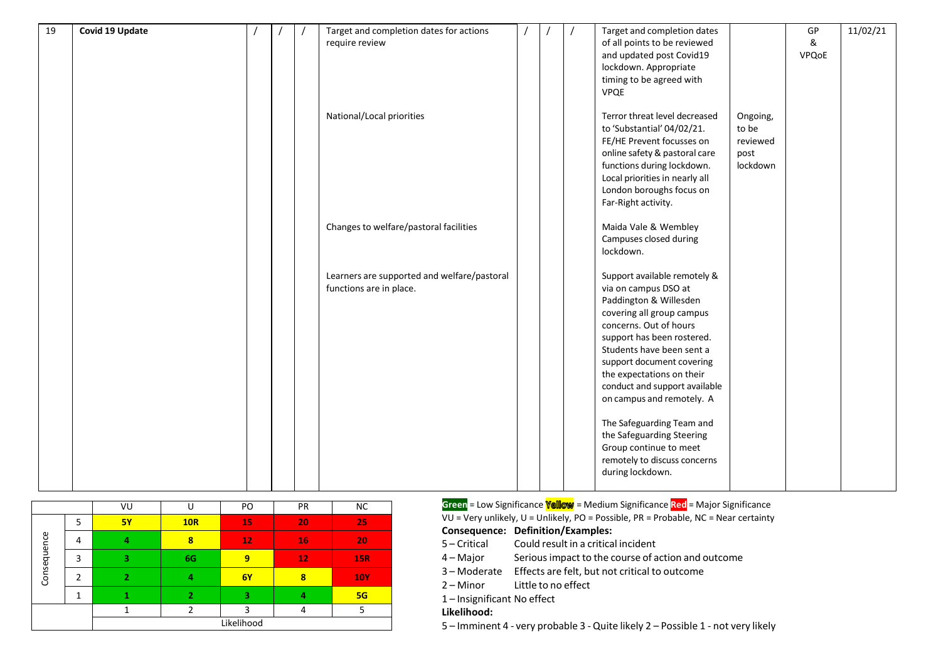| 19 | Covid 19 Update |  | Target and completion dates for actions<br>require review |  | Target and completion dates<br>of all points to be reviewed |          | GP<br>& | 11/02/21 |
|----|-----------------|--|-----------------------------------------------------------|--|-------------------------------------------------------------|----------|---------|----------|
|    |                 |  |                                                           |  | and updated post Covid19                                    |          | VPQoE   |          |
|    |                 |  |                                                           |  | lockdown. Appropriate<br>timing to be agreed with           |          |         |          |
|    |                 |  |                                                           |  | <b>VPQE</b>                                                 |          |         |          |
|    |                 |  |                                                           |  |                                                             |          |         |          |
|    |                 |  | National/Local priorities                                 |  | Terror threat level decreased                               | Ongoing, |         |          |
|    |                 |  |                                                           |  | to 'Substantial' 04/02/21.                                  | to be    |         |          |
|    |                 |  |                                                           |  | FE/HE Prevent focusses on                                   | reviewed |         |          |
|    |                 |  |                                                           |  | online safety & pastoral care                               | post     |         |          |
|    |                 |  |                                                           |  | functions during lockdown.                                  | lockdown |         |          |
|    |                 |  |                                                           |  | Local priorities in nearly all                              |          |         |          |
|    |                 |  |                                                           |  | London boroughs focus on                                    |          |         |          |
|    |                 |  |                                                           |  | Far-Right activity.                                         |          |         |          |
|    |                 |  | Changes to welfare/pastoral facilities                    |  | Maida Vale & Wembley                                        |          |         |          |
|    |                 |  |                                                           |  | Campuses closed during                                      |          |         |          |
|    |                 |  |                                                           |  | lockdown.                                                   |          |         |          |
|    |                 |  |                                                           |  |                                                             |          |         |          |
|    |                 |  | Learners are supported and welfare/pastoral               |  | Support available remotely &                                |          |         |          |
|    |                 |  | functions are in place.                                   |  | via on campus DSO at                                        |          |         |          |
|    |                 |  |                                                           |  | Paddington & Willesden<br>covering all group campus         |          |         |          |
|    |                 |  |                                                           |  | concerns. Out of hours                                      |          |         |          |
|    |                 |  |                                                           |  | support has been rostered.                                  |          |         |          |
|    |                 |  |                                                           |  | Students have been sent a                                   |          |         |          |
|    |                 |  |                                                           |  | support document covering                                   |          |         |          |
|    |                 |  |                                                           |  | the expectations on their                                   |          |         |          |
|    |                 |  |                                                           |  | conduct and support available                               |          |         |          |
|    |                 |  |                                                           |  | on campus and remotely. A                                   |          |         |          |
|    |                 |  |                                                           |  |                                                             |          |         |          |
|    |                 |  |                                                           |  | The Safeguarding Team and<br>the Safeguarding Steering      |          |         |          |
|    |                 |  |                                                           |  | Group continue to meet                                      |          |         |          |
|    |                 |  |                                                           |  | remotely to discuss concerns                                |          |         |          |
|    |                 |  |                                                           |  | during lockdown.                                            |          |         |          |
|    |                 |  |                                                           |  |                                                             |          |         |          |

|             |   | VU        | U              | PO | PR | <b>NC</b>  |  |
|-------------|---|-----------|----------------|----|----|------------|--|
|             | 5 | <b>5Y</b> | <b>10R</b>     | 15 | 20 | 25         |  |
| Consequence | 4 |           | 8              | 12 | 16 | 20         |  |
|             | 3 | 3         | 6G             | 9  | 12 | <b>15R</b> |  |
|             | 2 |           | 4              | 6Y | 8  | <b>10Y</b> |  |
|             |   |           | $\overline{2}$ | 3  | 4  | 5G         |  |
|             |   |           | າ              |    | 4  |            |  |
| Likelihood  |   |           |                |    |    |            |  |

| VU        |     | PO | PR  | <b>NC</b>  |
|-----------|-----|----|-----|------------|
| <b>5Y</b> | 10R | 15 | 20  | <b>25'</b> |
|           | 8   | 12 | LG' | 20         |
|           | 6G  | 9  | 12  | <b>15R</b> |
|           | 4   | 6Y | 8   | <b>10Y</b> |
|           |     |    | 4   | 5G         |
|           |     |    | Д   |            |